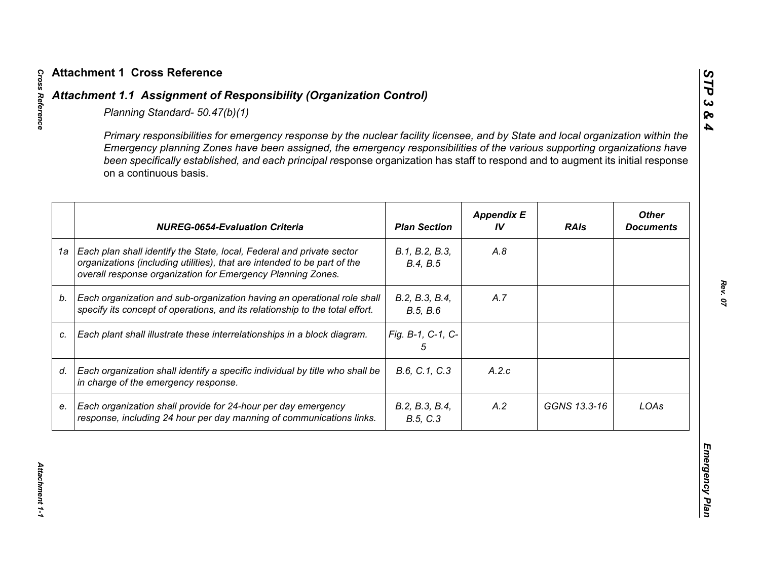|    | Primary responsibilities for emergency response by the nuclear facility licensee, and by State and local organization within the<br>Emergency planning Zones have been assigned, the emergency responsibilities of the various supporting organizations have<br>been specifically established, and each principal response organization has staff to respond and to augment its initial response<br>on a continuous basis. |                            |                         |              |                                  |
|----|----------------------------------------------------------------------------------------------------------------------------------------------------------------------------------------------------------------------------------------------------------------------------------------------------------------------------------------------------------------------------------------------------------------------------|----------------------------|-------------------------|--------------|----------------------------------|
|    | <b>NUREG-0654-Evaluation Criteria</b>                                                                                                                                                                                                                                                                                                                                                                                      | <b>Plan Section</b>        | <b>Appendix E</b><br>IV | <b>RAIs</b>  | <b>Other</b><br><b>Documents</b> |
| 1a | Each plan shall identify the State, local, Federal and private sector<br>organizations (including utilities), that are intended to be part of the<br>overall response organization for Emergency Planning Zones.                                                                                                                                                                                                           | B.1, B.2, B.3,<br>B.4, B.5 | A.8                     |              |                                  |
| b. | Each organization and sub-organization having an operational role shall<br>specify its concept of operations, and its relationship to the total effort.                                                                                                                                                                                                                                                                    | B.2, B.3, B.4,<br>B.5, B.6 | A.7                     |              |                                  |
| C. | Each plant shall illustrate these interrelationships in a block diagram.                                                                                                                                                                                                                                                                                                                                                   | Fig. B-1, C-1, C-<br>5     |                         |              |                                  |
| d. | Each organization shall identify a specific individual by title who shall be<br>in charge of the emergency response.                                                                                                                                                                                                                                                                                                       | B.6, C.1, C.3              | A.2.c                   |              |                                  |
| е. | Each organization shall provide for 24-hour per day emergency<br>response, including 24 hour per day manning of communications links.                                                                                                                                                                                                                                                                                      | B.2, B.3, B.4,<br>B.5, C.3 | A.2                     | GGNS 13.3-16 | LOAs                             |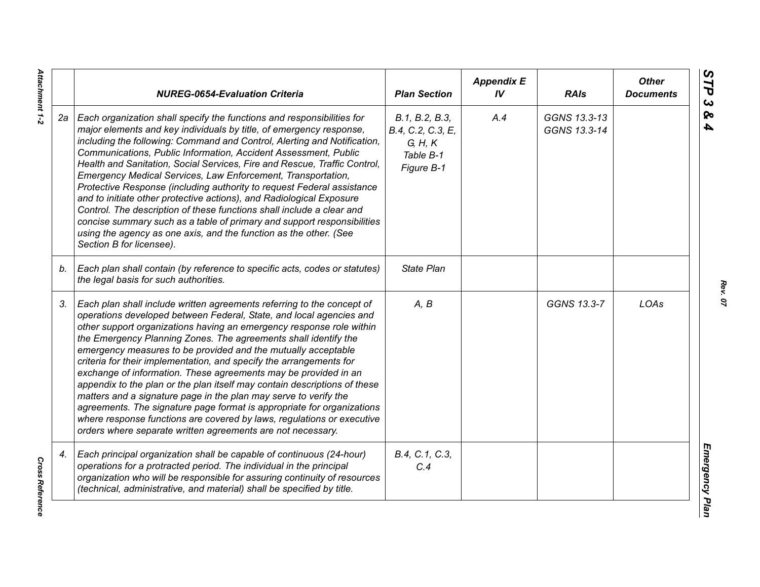|    | <b>NUREG-0654-Evaluation Criteria</b>                                                                                                                                                                                                                                                                                                                                                                                                                                                                                                                                                                                                                                                                                                                                                                                                                                   | <b>Plan Section</b>                                                       | <b>Appendix E</b><br>IV | <b>RAIs</b>                  | <b>Other</b><br><b>Documents</b> |
|----|-------------------------------------------------------------------------------------------------------------------------------------------------------------------------------------------------------------------------------------------------------------------------------------------------------------------------------------------------------------------------------------------------------------------------------------------------------------------------------------------------------------------------------------------------------------------------------------------------------------------------------------------------------------------------------------------------------------------------------------------------------------------------------------------------------------------------------------------------------------------------|---------------------------------------------------------------------------|-------------------------|------------------------------|----------------------------------|
| 2a | Each organization shall specify the functions and responsibilities for<br>major elements and key individuals by title, of emergency response,<br>including the following: Command and Control, Alerting and Notification,<br>Communications, Public Information, Accident Assessment, Public<br>Health and Sanitation, Social Services, Fire and Rescue, Traffic Control,<br>Emergency Medical Services, Law Enforcement, Transportation,<br>Protective Response (including authority to request Federal assistance<br>and to initiate other protective actions), and Radiological Exposure<br>Control. The description of these functions shall include a clear and<br>concise summary such as a table of primary and support responsibilities<br>using the agency as one axis, and the function as the other. (See<br>Section B for licensee).                        | B.1, B.2, B.3,<br>B.4, C.2, C.3, E,<br>G, H, K<br>Table B-1<br>Figure B-1 | A.4                     | GGNS 13.3-13<br>GGNS 13.3-14 |                                  |
| b. | Each plan shall contain (by reference to specific acts, codes or statutes)<br>the legal basis for such authorities.                                                                                                                                                                                                                                                                                                                                                                                                                                                                                                                                                                                                                                                                                                                                                     | State Plan                                                                |                         |                              |                                  |
| 3. | Each plan shall include written agreements referring to the concept of<br>operations developed between Federal, State, and local agencies and<br>other support organizations having an emergency response role within<br>the Emergency Planning Zones. The agreements shall identify the<br>emergency measures to be provided and the mutually acceptable<br>criteria for their implementation, and specify the arrangements for<br>exchange of information. These agreements may be provided in an<br>appendix to the plan or the plan itself may contain descriptions of these<br>matters and a signature page in the plan may serve to verify the<br>agreements. The signature page format is appropriate for organizations<br>where response functions are covered by laws, regulations or executive<br>orders where separate written agreements are not necessary. | A, B                                                                      |                         | GGNS 13.3-7                  | LOAs                             |
| 4. | Each principal organization shall be capable of continuous (24-hour)<br>operations for a protracted period. The individual in the principal<br>organization who will be responsible for assuring continuity of resources<br>(technical, administrative, and material) shall be specified by title.                                                                                                                                                                                                                                                                                                                                                                                                                                                                                                                                                                      | B.4, C.1, C.3,<br>C.4                                                     |                         |                              |                                  |

*Rev. 07*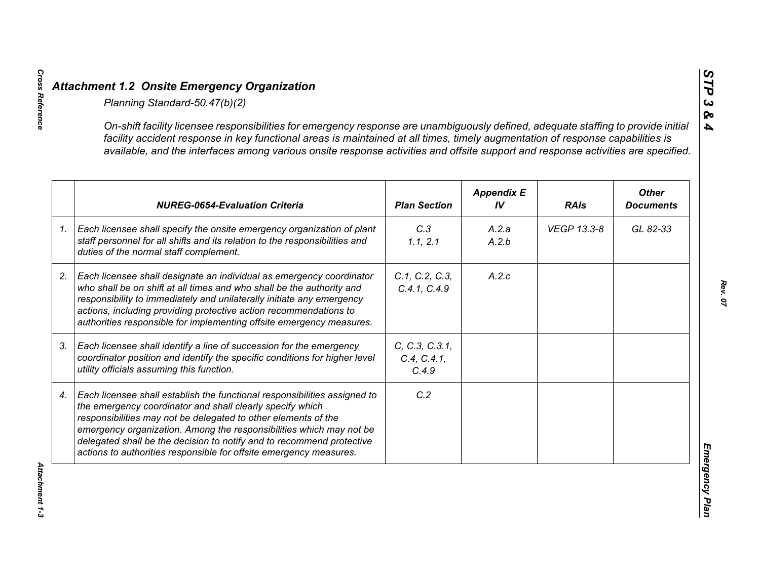|    | On-shift facility licensee responsibilities for emergency response are unambiguously defined, adequate staffing to provide initial<br>facility accident response in key functional areas is maintained at all times, timely augmentation of response capabilities is<br>available, and the interfaces among various onsite response activities and offsite support and response activities are specified.                      |                                        |                         |             |                                  |
|----|--------------------------------------------------------------------------------------------------------------------------------------------------------------------------------------------------------------------------------------------------------------------------------------------------------------------------------------------------------------------------------------------------------------------------------|----------------------------------------|-------------------------|-------------|----------------------------------|
|    | <b>NUREG-0654-Evaluation Criteria</b>                                                                                                                                                                                                                                                                                                                                                                                          | <b>Plan Section</b>                    | <b>Appendix E</b><br>IV | <b>RAIs</b> | <b>Other</b><br><b>Documents</b> |
| 1. | Each licensee shall specify the onsite emergency organization of plant<br>staff personnel for all shifts and its relation to the responsibilities and<br>duties of the normal staff complement.                                                                                                                                                                                                                                | C.3<br>1.1, 2.1                        | A.2.a<br>A.2.b          | VEGP 13.3-8 | GL 82-33                         |
|    | Each licensee shall designate an individual as emergency coordinator<br>who shall be on shift at all times and who shall be the authority and<br>responsibility to immediately and unilaterally initiate any emergency<br>actions, including providing protective action recommendations to<br>authorities responsible for implementing offsite emergency measures.                                                            | C.1, C.2, C.3,<br>C.4.1, C.4.9         | A.2.c                   |             |                                  |
|    | Each licensee shall identify a line of succession for the emergency<br>coordinator position and identify the specific conditions for higher level<br>utility officials assuming this function.                                                                                                                                                                                                                                 | C, C.3, C.3.1,<br>C.4, C.4.1,<br>C.4.9 |                         |             |                                  |
|    | Each licensee shall establish the functional responsibilities assigned to<br>the emergency coordinator and shall clearly specify which<br>responsibilities may not be delegated to other elements of the<br>emergency organization. Among the responsibilities which may not be<br>delegated shall be the decision to notify and to recommend protective<br>actions to authorities responsible for offsite emergency measures. | C.2                                    |                         |             |                                  |

*STP 3 & 4*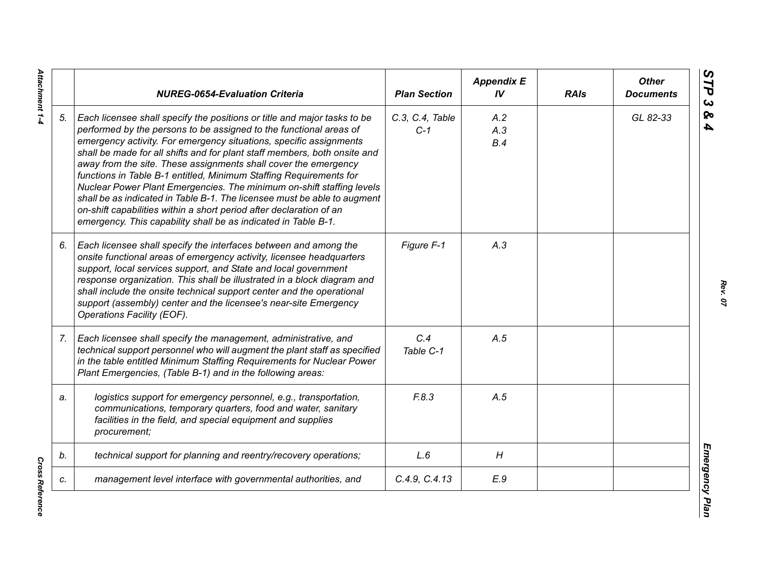|    | <b>NUREG-0654-Evaluation Criteria</b>                                                                                                                                                                                                                                                                                                                                                                                                                                                                                                                                                                                                                                                                                                    | <b>Plan Section</b>      | <b>Appendix E</b><br>IV | <b>RAIs</b> | <b>Other</b><br><b>Documents</b> |
|----|------------------------------------------------------------------------------------------------------------------------------------------------------------------------------------------------------------------------------------------------------------------------------------------------------------------------------------------------------------------------------------------------------------------------------------------------------------------------------------------------------------------------------------------------------------------------------------------------------------------------------------------------------------------------------------------------------------------------------------------|--------------------------|-------------------------|-------------|----------------------------------|
| 5. | Each licensee shall specify the positions or title and major tasks to be<br>performed by the persons to be assigned to the functional areas of<br>emergency activity. For emergency situations, specific assignments<br>shall be made for all shifts and for plant staff members, both onsite and<br>away from the site. These assignments shall cover the emergency<br>functions in Table B-1 entitled, Minimum Staffing Requirements for<br>Nuclear Power Plant Emergencies. The minimum on-shift staffing levels<br>shall be as indicated in Table B-1. The licensee must be able to augment<br>on-shift capabilities within a short period after declaration of an<br>emergency. This capability shall be as indicated in Table B-1. | C.3, C.4, Table<br>$C-1$ | A.2<br>A.3<br>B.4       |             | GL 82-33                         |
| 6. | Each licensee shall specify the interfaces between and among the<br>onsite functional areas of emergency activity, licensee headquarters<br>support, local services support, and State and local government<br>response organization. This shall be illustrated in a block diagram and<br>shall include the onsite technical support center and the operational<br>support (assembly) center and the licensee's near-site Emergency<br>Operations Facility (EOF).                                                                                                                                                                                                                                                                        | Figure F-1               | A.3                     |             |                                  |
| 7. | Each licensee shall specify the management, administrative, and<br>technical support personnel who will augment the plant staff as specified<br>in the table entitled Minimum Staffing Requirements for Nuclear Power<br>Plant Emergencies, (Table B-1) and in the following areas:                                                                                                                                                                                                                                                                                                                                                                                                                                                      | C.4<br>Table C-1         | A.5                     |             |                                  |
| a. | logistics support for emergency personnel, e.g., transportation,<br>communications, temporary quarters, food and water, sanitary<br>facilities in the field, and special equipment and supplies<br>procurement;                                                                                                                                                                                                                                                                                                                                                                                                                                                                                                                          | F.8.3                    | A.5                     |             |                                  |
| b. | technical support for planning and reentry/recovery operations;                                                                                                                                                                                                                                                                                                                                                                                                                                                                                                                                                                                                                                                                          | L.6                      | H                       |             |                                  |
| c. | management level interface with governmental authorities, and                                                                                                                                                                                                                                                                                                                                                                                                                                                                                                                                                                                                                                                                            | C.4.9, C.4.13            | E.9                     |             |                                  |

**Cross Reference** *Cross Reference*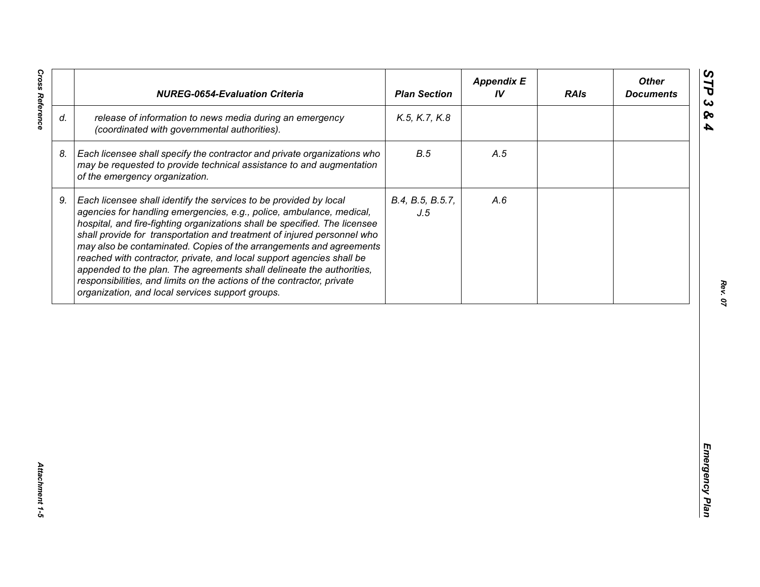| release of information to news media during an emergency<br>K.5, K.7, K.8<br>(coordinated with governmental authorities).<br>B.5<br>Each licensee shall specify the contractor and private organizations who<br>A.5<br>may be requested to provide technical assistance to and augmentation<br>of the emergency organization.<br>Each licensee shall identify the services to be provided by local<br>B.4, B.5, B.5.7,<br>A.6<br>agencies for handling emergencies, e.g., police, ambulance, medical,<br>J.5<br>hospital, and fire-fighting organizations shall be specified. The licensee<br>shall provide for transportation and treatment of injured personnel who<br>may also be contaminated. Copies of the arrangements and agreements<br>reached with contractor, private, and local support agencies shall be | appended to the plan. The agreements shall delineate the authorities,<br>responsibilities, and limits on the actions of the contractor, private<br>organization, and local services support groups. |    | <b>NUREG-0654-Evaluation Criteria</b> | <b>Plan Section</b> | <b>Appendix E</b><br>IV | <b>RAIs</b> | <b>Other</b><br><b>Documents</b> |
|-----------------------------------------------------------------------------------------------------------------------------------------------------------------------------------------------------------------------------------------------------------------------------------------------------------------------------------------------------------------------------------------------------------------------------------------------------------------------------------------------------------------------------------------------------------------------------------------------------------------------------------------------------------------------------------------------------------------------------------------------------------------------------------------------------------------------|-----------------------------------------------------------------------------------------------------------------------------------------------------------------------------------------------------|----|---------------------------------------|---------------------|-------------------------|-------------|----------------------------------|
|                                                                                                                                                                                                                                                                                                                                                                                                                                                                                                                                                                                                                                                                                                                                                                                                                       |                                                                                                                                                                                                     | d. |                                       |                     |                         |             |                                  |
|                                                                                                                                                                                                                                                                                                                                                                                                                                                                                                                                                                                                                                                                                                                                                                                                                       |                                                                                                                                                                                                     | 8. |                                       |                     |                         |             |                                  |
|                                                                                                                                                                                                                                                                                                                                                                                                                                                                                                                                                                                                                                                                                                                                                                                                                       |                                                                                                                                                                                                     | 9. |                                       |                     |                         |             |                                  |
|                                                                                                                                                                                                                                                                                                                                                                                                                                                                                                                                                                                                                                                                                                                                                                                                                       |                                                                                                                                                                                                     |    |                                       |                     |                         |             |                                  |
|                                                                                                                                                                                                                                                                                                                                                                                                                                                                                                                                                                                                                                                                                                                                                                                                                       |                                                                                                                                                                                                     |    |                                       |                     |                         |             |                                  |
|                                                                                                                                                                                                                                                                                                                                                                                                                                                                                                                                                                                                                                                                                                                                                                                                                       |                                                                                                                                                                                                     |    |                                       |                     |                         |             |                                  |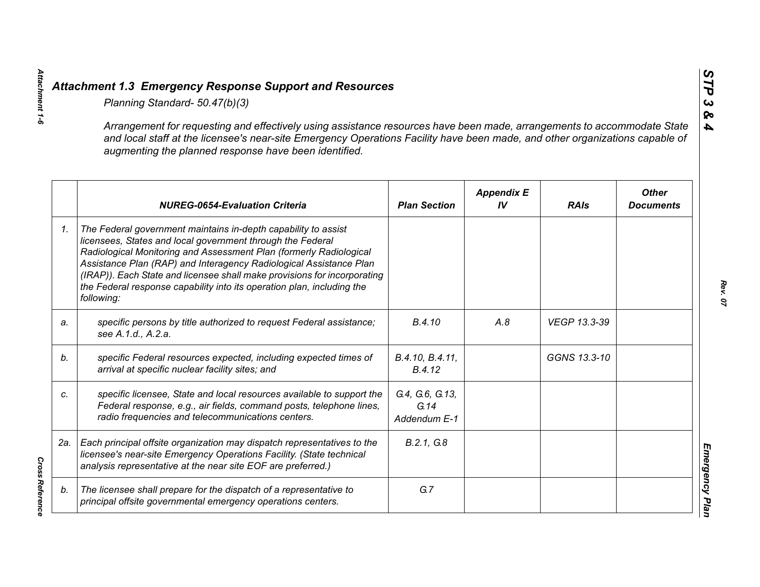|    | Planning Standard- 50.47(b)(3)                                                                                                                                                                                                                                                                                                                                                                                                               |                                         |                         |              |                                  |
|----|----------------------------------------------------------------------------------------------------------------------------------------------------------------------------------------------------------------------------------------------------------------------------------------------------------------------------------------------------------------------------------------------------------------------------------------------|-----------------------------------------|-------------------------|--------------|----------------------------------|
|    | Arrangement for requesting and effectively using assistance resources have been made, arrangements to accommodate State<br>and local staff at the licensee's near-site Emergency Operations Facility have been made, and other organizations capable of<br>augmenting the planned response have been identified.                                                                                                                             |                                         |                         |              |                                  |
|    | <b>NUREG-0654-Evaluation Criteria</b>                                                                                                                                                                                                                                                                                                                                                                                                        | <b>Plan Section</b>                     | <b>Appendix E</b><br>IV | <b>RAIs</b>  | <b>Other</b><br><b>Documents</b> |
| 1. | The Federal government maintains in-depth capability to assist<br>licensees, States and local government through the Federal<br>Radiological Monitoring and Assessment Plan (formerly Radiological<br>Assistance Plan (RAP) and Interagency Radiological Assistance Plan<br>(IRAP)). Each State and licensee shall make provisions for incorporating<br>the Federal response capability into its operation plan, including the<br>following: |                                         |                         |              |                                  |
| a. | specific persons by title authorized to request Federal assistance;<br>see A.1.d., A.2.a.                                                                                                                                                                                                                                                                                                                                                    | B.4.10                                  | A.8                     | VEGP 13.3-39 |                                  |
| b. | specific Federal resources expected, including expected times of<br>arrival at specific nuclear facility sites; and                                                                                                                                                                                                                                                                                                                          | B.4.10, B.4.11,<br>B.4.12               |                         | GGNS 13.3-10 |                                  |
| C. | specific licensee, State and local resources available to support the<br>Federal response, e.g., air fields, command posts, telephone lines,<br>radio frequencies and telecommunications centers.                                                                                                                                                                                                                                            | G.4, G.6, G.13,<br>G.14<br>Addendum E-1 |                         |              |                                  |
|    | 2a.   Each principal offsite organization may dispatch representatives to the<br>licensee's near-site Emergency Operations Facility. (State technical<br>analysis representative at the near site EOF are preferred.)                                                                                                                                                                                                                        | B.2.1, G.8                              |                         |              |                                  |
| b. | The licensee shall prepare for the dispatch of a representative to<br>principal offsite governmental emergency operations centers.                                                                                                                                                                                                                                                                                                           | G.7                                     |                         |              |                                  |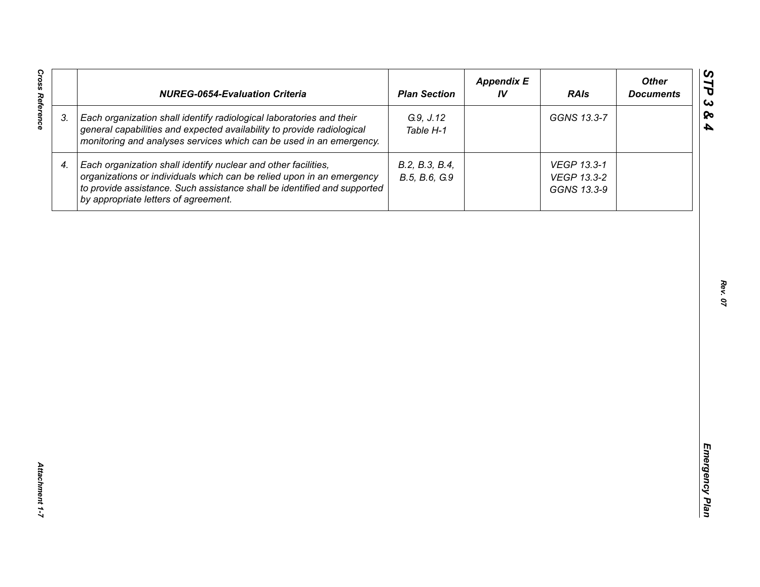| <b>Cross Reference</b> | <b>NUREG-0654-Evaluation Criteria</b>                                                                                                                                                                                                                       | <b>Plan Section</b>             | <b>Appendix E</b><br>IV | <b>RAIs</b>                               | <b>Other</b><br><b>Documents</b> |
|------------------------|-------------------------------------------------------------------------------------------------------------------------------------------------------------------------------------------------------------------------------------------------------------|---------------------------------|-------------------------|-------------------------------------------|----------------------------------|
| 3.                     | Each organization shall identify radiological laboratories and their<br>general capabilities and expected availability to provide radiological<br>monitoring and analyses services which can be used in an emergency.                                       | G.9, J.12<br>Table H-1          |                         | GGNS 13.3-7                               |                                  |
| 4.                     | Each organization shall identify nuclear and other facilities,<br>organizations or individuals which can be relied upon in an emergency<br>to provide assistance. Such assistance shall be identified and supported<br>by appropriate letters of agreement. | B.2, B.3, B.4,<br>B.5, B.6, G.9 |                         | VEGP 13.3-1<br>VEGP 13.3-2<br>GGNS 13.3-9 |                                  |
|                        |                                                                                                                                                                                                                                                             |                                 |                         |                                           |                                  |
|                        |                                                                                                                                                                                                                                                             |                                 |                         |                                           |                                  |
|                        |                                                                                                                                                                                                                                                             |                                 |                         |                                           |                                  |
|                        |                                                                                                                                                                                                                                                             |                                 |                         |                                           |                                  |
|                        |                                                                                                                                                                                                                                                             |                                 |                         |                                           |                                  |
|                        |                                                                                                                                                                                                                                                             |                                 |                         |                                           |                                  |
| Attachment 1-7         |                                                                                                                                                                                                                                                             |                                 |                         |                                           |                                  |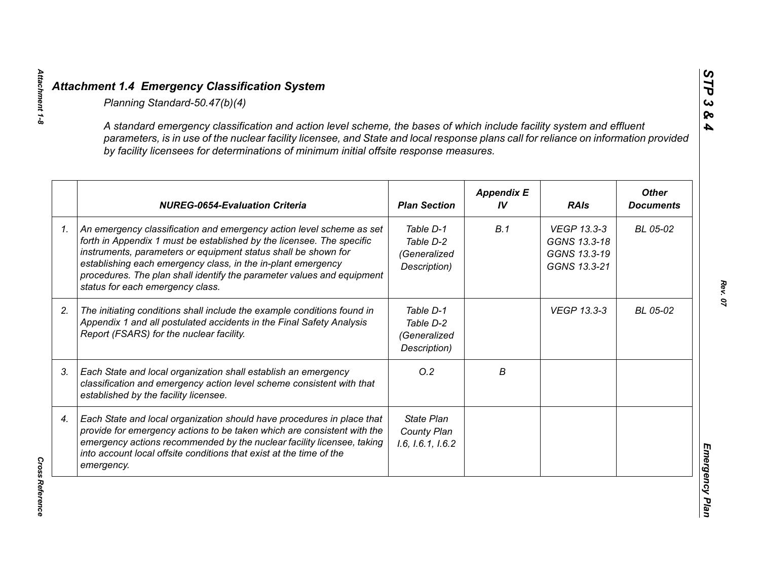| A standard emergency classification and action level scheme, the bases of which include facility system and effluent<br>parameters, is in use of the nuclear facility licensee, and State and local response plans call for reliance on information provided<br>by facility licensees for determinations of minimum initial offsite response measures.                                        |                                                        |                         |                                                             |                                  |
|-----------------------------------------------------------------------------------------------------------------------------------------------------------------------------------------------------------------------------------------------------------------------------------------------------------------------------------------------------------------------------------------------|--------------------------------------------------------|-------------------------|-------------------------------------------------------------|----------------------------------|
| <b>NUREG-0654-Evaluation Criteria</b>                                                                                                                                                                                                                                                                                                                                                         | <b>Plan Section</b>                                    | <b>Appendix E</b><br>IV | <b>RAIs</b>                                                 | <b>Other</b><br><b>Documents</b> |
| An emergency classification and emergency action level scheme as set<br>forth in Appendix 1 must be established by the licensee. The specific<br>instruments, parameters or equipment status shall be shown for<br>establishing each emergency class, in the in-plant emergency<br>procedures. The plan shall identify the parameter values and equipment<br>status for each emergency class. | Table D-1<br>Table D-2<br>(Generalized<br>Description) | B.1                     | VEGP 13.3-3<br>GGNS 13.3-18<br>GGNS 13.3-19<br>GGNS 13.3-21 | BL 05-02                         |
| The initiating conditions shall include the example conditions found in<br>Appendix 1 and all postulated accidents in the Final Safety Analysis<br>Report (FSARS) for the nuclear facility.                                                                                                                                                                                                   | Table D-1<br>Table D-2<br>(Generalized<br>Description) |                         | <b>VEGP 13.3-3</b>                                          | BL 05-02                         |
| Each State and local organization shall establish an emergency<br>classification and emergency action level scheme consistent with that<br>established by the facility licensee.                                                                                                                                                                                                              | O.2                                                    | В                       |                                                             |                                  |
| Each State and local organization should have procedures in place that<br>provide for emergency actions to be taken which are consistent with the<br>emergency actions recommended by the nuclear facility licensee, taking<br>into account local offsite conditions that exist at the time of the<br>emergency.                                                                              | <b>State Plan</b><br>County Plan<br>1.6, 1.6.1, 1.6.2  |                         |                                                             |                                  |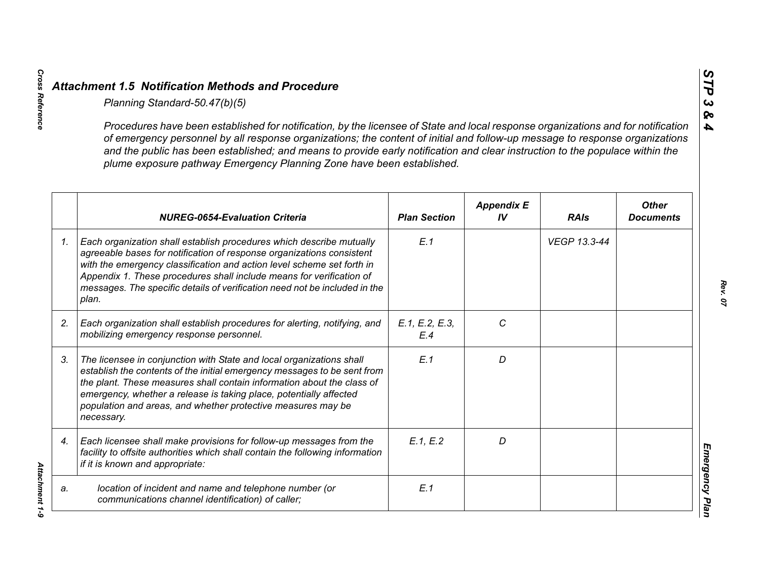|    | Planning Standard-50.47(b)(5)                                                                                                                                                                                                                                                                                                                                                                                                                                               |                       |                         |              |                                  |
|----|-----------------------------------------------------------------------------------------------------------------------------------------------------------------------------------------------------------------------------------------------------------------------------------------------------------------------------------------------------------------------------------------------------------------------------------------------------------------------------|-----------------------|-------------------------|--------------|----------------------------------|
|    | Procedures have been established for notification, by the licensee of State and local response organizations and for notification<br>of emergency personnel by all response organizations; the content of initial and follow-up message to response organizations<br>and the public has been established; and means to provide early notification and clear instruction to the populace within the<br>plume exposure pathway Emergency Planning Zone have been established. |                       |                         |              |                                  |
|    | <b>NUREG-0654-Evaluation Criteria</b>                                                                                                                                                                                                                                                                                                                                                                                                                                       | <b>Plan Section</b>   | <b>Appendix E</b><br>IV | <b>RAIs</b>  | <b>Other</b><br><b>Documents</b> |
| 1. | Each organization shall establish procedures which describe mutually<br>agreeable bases for notification of response organizations consistent<br>with the emergency classification and action level scheme set forth in<br>Appendix 1. These procedures shall include means for verification of<br>messages. The specific details of verification need not be included in the<br>plan.                                                                                      | E.1                   |                         | VEGP 13.3-44 |                                  |
| 2. | Each organization shall establish procedures for alerting, notifying, and<br>mobilizing emergency response personnel.                                                                                                                                                                                                                                                                                                                                                       | E.1, E.2, E.3,<br>E.4 | C                       |              |                                  |
| 3. | The licensee in conjunction with State and local organizations shall<br>establish the contents of the initial emergency messages to be sent from<br>the plant. These measures shall contain information about the class of<br>emergency, whether a release is taking place, potentially affected<br>population and areas, and whether protective measures may be<br>necessary.                                                                                              | E.1                   | D                       |              |                                  |
| 4. | Each licensee shall make provisions for follow-up messages from the<br>facility to offsite authorities which shall contain the following information<br>if it is known and appropriate:                                                                                                                                                                                                                                                                                     | E.1, E.2              | D                       |              |                                  |
| a. | location of incident and name and telephone number (or<br>communications channel identification) of caller;                                                                                                                                                                                                                                                                                                                                                                 | E.1                   |                         |              |                                  |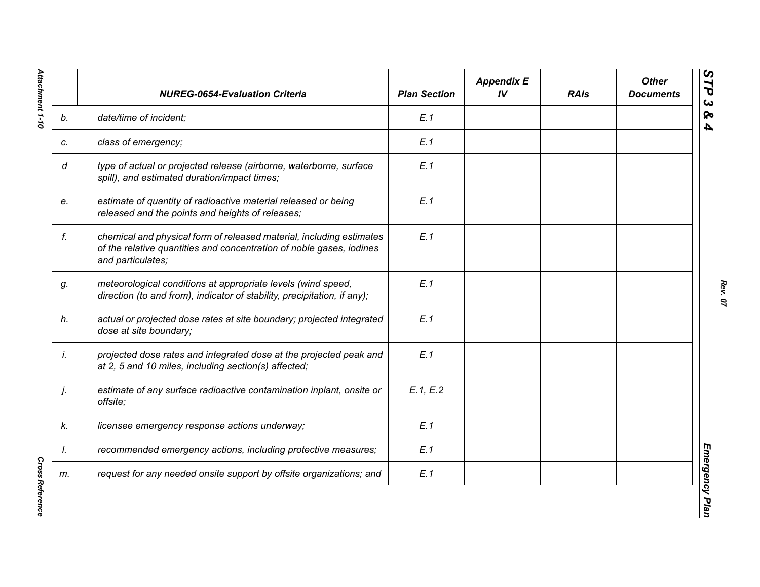|    | <b>NUREG-0654-Evaluation Criteria</b>                                                                                                                             | <b>Plan Section</b> | <b>Appendix E</b><br>IV | <b>RAIs</b> | <b>Other</b><br><b>Documents</b> |
|----|-------------------------------------------------------------------------------------------------------------------------------------------------------------------|---------------------|-------------------------|-------------|----------------------------------|
| b. | date/time of incident;                                                                                                                                            | E.1                 |                         |             |                                  |
| c. | class of emergency;                                                                                                                                               | E.1                 |                         |             |                                  |
| d  | type of actual or projected release (airborne, waterborne, surface<br>spill), and estimated duration/impact times;                                                | E.1                 |                         |             |                                  |
| e. | estimate of quantity of radioactive material released or being<br>released and the points and heights of releases;                                                | E.1                 |                         |             |                                  |
| f. | chemical and physical form of released material, including estimates<br>of the relative quantities and concentration of noble gases, iodines<br>and particulates; | E.1                 |                         |             |                                  |
| g. | meteorological conditions at appropriate levels (wind speed,<br>direction (to and from), indicator of stability, precipitation, if any);                          | E.1                 |                         |             |                                  |
| h. | actual or projected dose rates at site boundary; projected integrated<br>dose at site boundary;                                                                   | E.1                 |                         |             |                                  |
| İ. | projected dose rates and integrated dose at the projected peak and<br>at 2, 5 and 10 miles, including section(s) affected;                                        | E.1                 |                         |             |                                  |
| j. | estimate of any surface radioactive contamination inplant, onsite or<br>offsite;                                                                                  | E.1, E.2            |                         |             |                                  |
| k. | licensee emergency response actions underway;                                                                                                                     | E.1                 |                         |             |                                  |
| I. | recommended emergency actions, including protective measures;                                                                                                     | E.1                 |                         |             |                                  |
| m. | request for any needed onsite support by offsite organizations; and                                                                                               | E.1                 |                         |             |                                  |

**Cross Reference** *Cross Reference*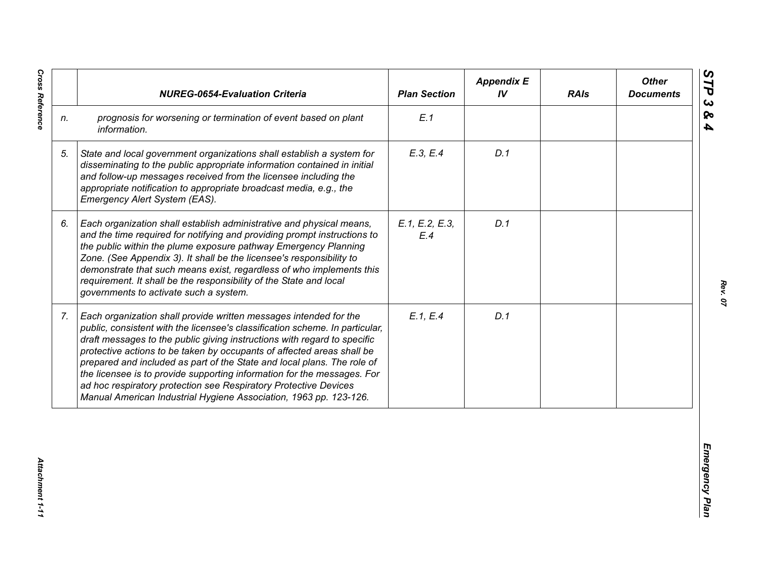|                | <b>NUREG-0654-Evaluation Criteria</b>                                                                                                                                                                                                                                                                                                                                                                                                                                                                                                                                                                  | <b>Plan Section</b>   | <b>Appendix E</b><br>IV | <b>RAIs</b> | <b>Other</b><br><b>Documents</b> |
|----------------|--------------------------------------------------------------------------------------------------------------------------------------------------------------------------------------------------------------------------------------------------------------------------------------------------------------------------------------------------------------------------------------------------------------------------------------------------------------------------------------------------------------------------------------------------------------------------------------------------------|-----------------------|-------------------------|-------------|----------------------------------|
| n.             | prognosis for worsening or termination of event based on plant<br>information.                                                                                                                                                                                                                                                                                                                                                                                                                                                                                                                         | E.1                   |                         |             |                                  |
| 5.             | State and local government organizations shall establish a system for<br>disseminating to the public appropriate information contained in initial<br>and follow-up messages received from the licensee including the<br>appropriate notification to appropriate broadcast media, e.g., the<br>Emergency Alert System (EAS).                                                                                                                                                                                                                                                                            | E.3, E.4              | D.1                     |             |                                  |
| 6.             | Each organization shall establish administrative and physical means,<br>and the time required for notifying and providing prompt instructions to<br>the public within the plume exposure pathway Emergency Planning<br>Zone. (See Appendix 3). It shall be the licensee's responsibility to<br>demonstrate that such means exist, regardless of who implements this<br>requirement. It shall be the responsibility of the State and local<br>governments to activate such a system.                                                                                                                    | E.1, E.2, E.3,<br>E.4 | D.1                     |             |                                  |
| 7 <sub>1</sub> | Each organization shall provide written messages intended for the<br>public, consistent with the licensee's classification scheme. In particular,<br>draft messages to the public giving instructions with regard to specific<br>protective actions to be taken by occupants of affected areas shall be<br>prepared and included as part of the State and local plans. The role of<br>the licensee is to provide supporting information for the messages. For<br>ad hoc respiratory protection see Respiratory Protective Devices<br>Manual American Industrial Hygiene Association, 1963 pp. 123-126. | E.1, E.4              | D.1                     |             |                                  |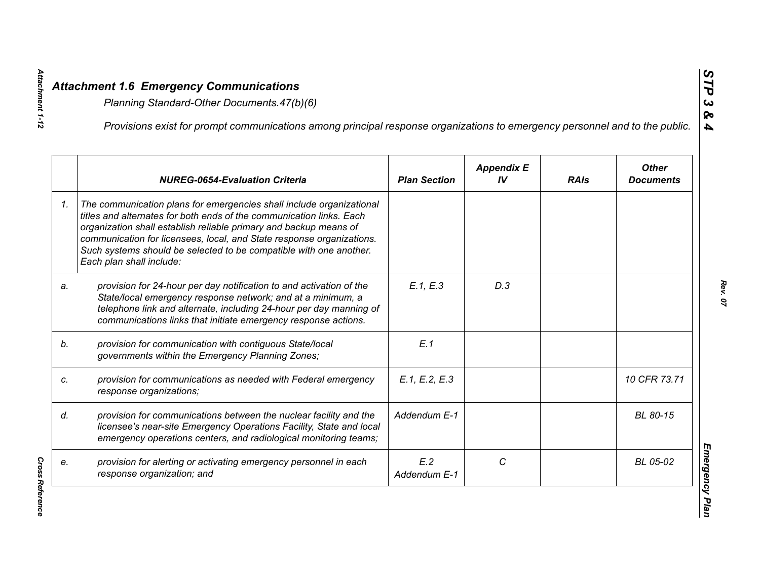|    | Provisions exist for prompt communications among principal response organizations to emergency personnel and to the public.                                                                                                                                                                                                                                                                  |                     |                         |             |                                  |
|----|----------------------------------------------------------------------------------------------------------------------------------------------------------------------------------------------------------------------------------------------------------------------------------------------------------------------------------------------------------------------------------------------|---------------------|-------------------------|-------------|----------------------------------|
|    | <b>NUREG-0654-Evaluation Criteria</b>                                                                                                                                                                                                                                                                                                                                                        | <b>Plan Section</b> | <b>Appendix E</b><br>IV | <b>RAIs</b> | <b>Other</b><br><b>Documents</b> |
| 1. | The communication plans for emergencies shall include organizational<br>titles and alternates for both ends of the communication links. Each<br>organization shall establish reliable primary and backup means of<br>communication for licensees, local, and State response organizations.<br>Such systems should be selected to be compatible with one another.<br>Each plan shall include: |                     |                         |             |                                  |
| a. | provision for 24-hour per day notification to and activation of the<br>State/local emergency response network; and at a minimum, a<br>telephone link and alternate, including 24-hour per day manning of<br>communications links that initiate emergency response actions.                                                                                                                   | E.1, E.3            | D.3                     |             |                                  |
|    | provision for communication with contiguous State/local<br>governments within the Emergency Planning Zones;                                                                                                                                                                                                                                                                                  | E.1                 |                         |             |                                  |
|    | provision for communications as needed with Federal emergency<br>response organizations;                                                                                                                                                                                                                                                                                                     | E.1, E.2, E.3       |                         |             | 10 CFR 73.71                     |
|    | provision for communications between the nuclear facility and the<br>licensee's near-site Emergency Operations Facility, State and local<br>emergency operations centers, and radiological monitoring teams;                                                                                                                                                                                 | Addendum E-1        |                         |             | BL 80-15                         |
|    | provision for alerting or activating emergency personnel in each<br>response organization; and                                                                                                                                                                                                                                                                                               | E.2<br>Addendum E-1 | C                       |             | BL 05-02                         |

**Cross Reference** *Cross Reference* 

*Attachment 1-12*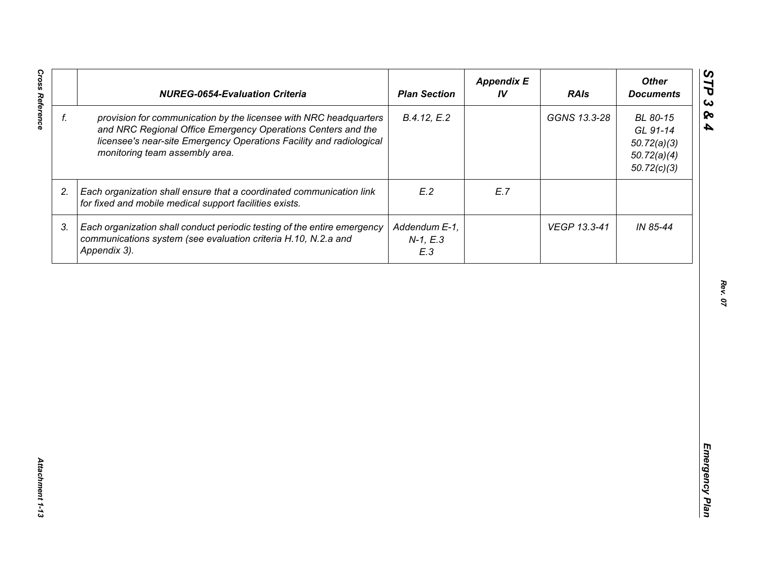| f. |                                                                                                                                                                                                                                            | <b>Plan Section</b>                | IV  | <b>RAIs</b>  | <b>Other</b><br><b>Documents</b>                                  |
|----|--------------------------------------------------------------------------------------------------------------------------------------------------------------------------------------------------------------------------------------------|------------------------------------|-----|--------------|-------------------------------------------------------------------|
|    | provision for communication by the licensee with NRC headquarters<br>and NRC Regional Office Emergency Operations Centers and the<br>licensee's near-site Emergency Operations Facility and radiological<br>monitoring team assembly area. | B.4.12, E.2                        |     | GGNS 13.3-28 | BL 80-15<br>GL 91-14<br>50.72(a)(3)<br>50.72(a)(4)<br>50.72(c)(3) |
| 2. | Each organization shall ensure that a coordinated communication link<br>for fixed and mobile medical support facilities exists.                                                                                                            | E.2                                | E.7 |              |                                                                   |
| 3. | Each organization shall conduct periodic testing of the entire emergency<br>communications system (see evaluation criteria H.10, N.2.a and<br>Appendix 3).                                                                                 | Addendum E-1,<br>$N-1, E.3$<br>E.3 |     | VEGP 13.3-41 | IN 85-44                                                          |
|    |                                                                                                                                                                                                                                            |                                    |     |              |                                                                   |
|    |                                                                                                                                                                                                                                            |                                    |     |              |                                                                   |
|    |                                                                                                                                                                                                                                            |                                    |     |              |                                                                   |
|    |                                                                                                                                                                                                                                            |                                    |     |              |                                                                   |
|    |                                                                                                                                                                                                                                            |                                    |     |              |                                                                   |
|    |                                                                                                                                                                                                                                            |                                    |     |              |                                                                   |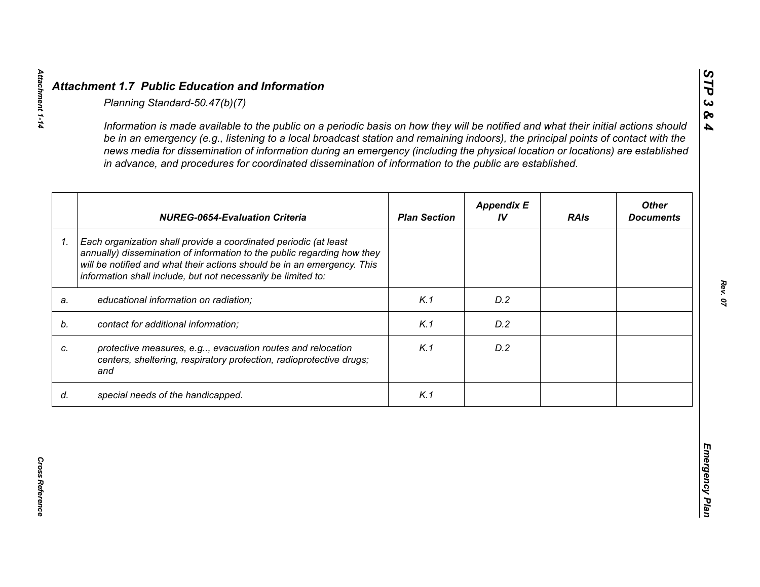|    | <b>NUREG-0654-Evaluation Criteria</b>                                                                                                                                                                                                                                                   | <b>Plan Section</b> | <b>Appendix E</b><br>IV | <b>RAIs</b> | <b>Other</b><br><b>Documents</b> |
|----|-----------------------------------------------------------------------------------------------------------------------------------------------------------------------------------------------------------------------------------------------------------------------------------------|---------------------|-------------------------|-------------|----------------------------------|
| 1. | Each organization shall provide a coordinated periodic (at least<br>annually) dissemination of information to the public regarding how they<br>will be notified and what their actions should be in an emergency. This<br>information shall include, but not necessarily be limited to: |                     |                         |             |                                  |
| a. | educational information on radiation;                                                                                                                                                                                                                                                   | K.1                 | D.2                     |             |                                  |
| b. | contact for additional information;                                                                                                                                                                                                                                                     | K.1                 | D.2                     |             |                                  |
|    | protective measures, e.g, evacuation routes and relocation<br>centers, sheltering, respiratory protection, radioprotective drugs;<br>and                                                                                                                                                | K.1                 | D.2                     |             |                                  |
| d. | special needs of the handicapped.                                                                                                                                                                                                                                                       | K.1                 |                         |             |                                  |

*STP 3 & 4*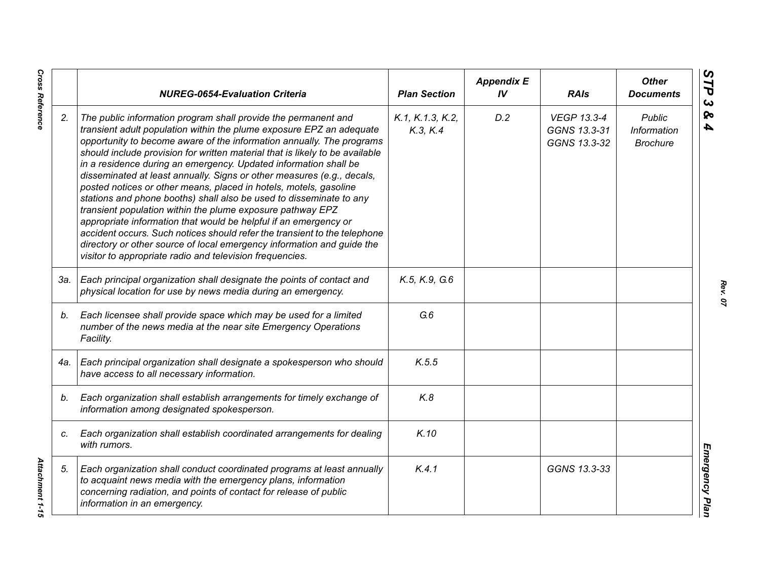|     | <b>NUREG-0654-Evaluation Criteria</b>                                                                                                                                                                                                                                                                                                                                                                                                                                                                                                                                                                                                                                                                                                                                                                                                                                                                                                          | <b>Plan Section</b>          | <b>Appendix E</b><br>IV | <b>RAIs</b>                                        | <b>Other</b><br><b>Documents</b>                |
|-----|------------------------------------------------------------------------------------------------------------------------------------------------------------------------------------------------------------------------------------------------------------------------------------------------------------------------------------------------------------------------------------------------------------------------------------------------------------------------------------------------------------------------------------------------------------------------------------------------------------------------------------------------------------------------------------------------------------------------------------------------------------------------------------------------------------------------------------------------------------------------------------------------------------------------------------------------|------------------------------|-------------------------|----------------------------------------------------|-------------------------------------------------|
| 2.  | The public information program shall provide the permanent and<br>transient adult population within the plume exposure EPZ an adequate<br>opportunity to become aware of the information annually. The programs<br>should include provision for written material that is likely to be available<br>in a residence during an emergency. Updated information shall be<br>disseminated at least annually. Signs or other measures (e.g., decals,<br>posted notices or other means, placed in hotels, motels, gasoline<br>stations and phone booths) shall also be used to disseminate to any<br>transient population within the plume exposure pathway EPZ<br>appropriate information that would be helpful if an emergency or<br>accident occurs. Such notices should refer the transient to the telephone<br>directory or other source of local emergency information and guide the<br>visitor to appropriate radio and television frequencies. | K.1, K.1.3, K.2,<br>K.3, K.4 | D.2                     | <b>VEGP 13.3-4</b><br>GGNS 13.3-31<br>GGNS 13.3-32 | <b>Public</b><br>Information<br><b>Brochure</b> |
| 3а. | Each principal organization shall designate the points of contact and<br>physical location for use by news media during an emergency.                                                                                                                                                                                                                                                                                                                                                                                                                                                                                                                                                                                                                                                                                                                                                                                                          | K.5, K.9, G.6                |                         |                                                    |                                                 |
| b.  | Each licensee shall provide space which may be used for a limited<br>number of the news media at the near site Emergency Operations<br>Facility.                                                                                                                                                                                                                                                                                                                                                                                                                                                                                                                                                                                                                                                                                                                                                                                               | G.6                          |                         |                                                    |                                                 |
| 4a. | Each principal organization shall designate a spokesperson who should<br>have access to all necessary information.                                                                                                                                                                                                                                                                                                                                                                                                                                                                                                                                                                                                                                                                                                                                                                                                                             | K.5.5                        |                         |                                                    |                                                 |
| b.  | Each organization shall establish arrangements for timely exchange of<br>information among designated spokesperson.                                                                                                                                                                                                                                                                                                                                                                                                                                                                                                                                                                                                                                                                                                                                                                                                                            | K.8                          |                         |                                                    |                                                 |
| C.  | Each organization shall establish coordinated arrangements for dealing<br>with rumors.                                                                                                                                                                                                                                                                                                                                                                                                                                                                                                                                                                                                                                                                                                                                                                                                                                                         | K.10                         |                         |                                                    |                                                 |
| 5.  | Each organization shall conduct coordinated programs at least annually<br>to acquaint news media with the emergency plans, information<br>concerning radiation, and points of contact for release of public<br>information in an emergency.                                                                                                                                                                                                                                                                                                                                                                                                                                                                                                                                                                                                                                                                                                    | K.4.1                        |                         | GGNS 13.3-33                                       |                                                 |

*Rev. 07*

**Cross Reference** 

*Cross Reference Attachment 1-15* Attachment 1-15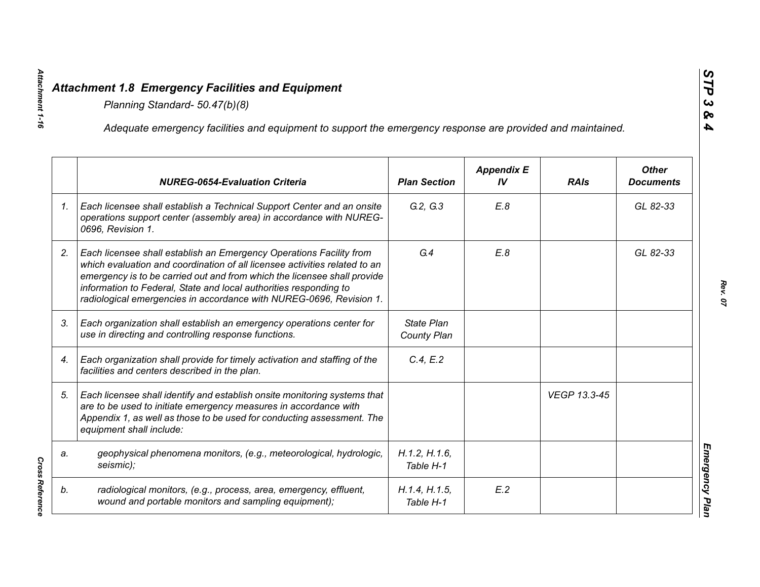|    | Adequate emergency facilities and equipment to support the emergency response are provided and maintained.                                                                                                                                                                                                                                                                |                            |                         |              |                                  |
|----|---------------------------------------------------------------------------------------------------------------------------------------------------------------------------------------------------------------------------------------------------------------------------------------------------------------------------------------------------------------------------|----------------------------|-------------------------|--------------|----------------------------------|
|    | <b>NUREG-0654-Evaluation Criteria</b>                                                                                                                                                                                                                                                                                                                                     | <b>Plan Section</b>        | <b>Appendix E</b><br>IV | <b>RAIs</b>  | <b>Other</b><br><b>Documents</b> |
| 1. | Each licensee shall establish a Technical Support Center and an onsite<br>operations support center (assembly area) in accordance with NUREG-<br>0696, Revision 1.                                                                                                                                                                                                        | G.2, G.3                   | E.8                     |              | GL 82-33                         |
| 2. | Each licensee shall establish an Emergency Operations Facility from<br>which evaluation and coordination of all licensee activities related to an<br>emergency is to be carried out and from which the licensee shall provide<br>information to Federal, State and local authorities responding to<br>radiological emergencies in accordance with NUREG-0696, Revision 1. | G.4                        | E.8                     |              | GL 82-33                         |
| 3. | Each organization shall establish an emergency operations center for<br>use in directing and controlling response functions.                                                                                                                                                                                                                                              | State Plan<br>County Plan  |                         |              |                                  |
| 4. | Each organization shall provide for timely activation and staffing of the<br>facilities and centers described in the plan.                                                                                                                                                                                                                                                | C.4, E.2                   |                         |              |                                  |
| 5. | Each licensee shall identify and establish onsite monitoring systems that<br>are to be used to initiate emergency measures in accordance with<br>Appendix 1, as well as those to be used for conducting assessment. The<br>equipment shall include:                                                                                                                       |                            |                         | VEGP 13.3-45 |                                  |
| a. | geophysical phenomena monitors, (e.g., meteorological, hydrologic,<br>seismic);                                                                                                                                                                                                                                                                                           | H.1.2, H.1.6,<br>Table H-1 |                         |              |                                  |
| b. | radiological monitors, (e.g., process, area, emergency, effluent,<br>wound and portable monitors and sampling equipment);                                                                                                                                                                                                                                                 | H.1.4, H.1.5,<br>Table H-1 | E.2                     |              |                                  |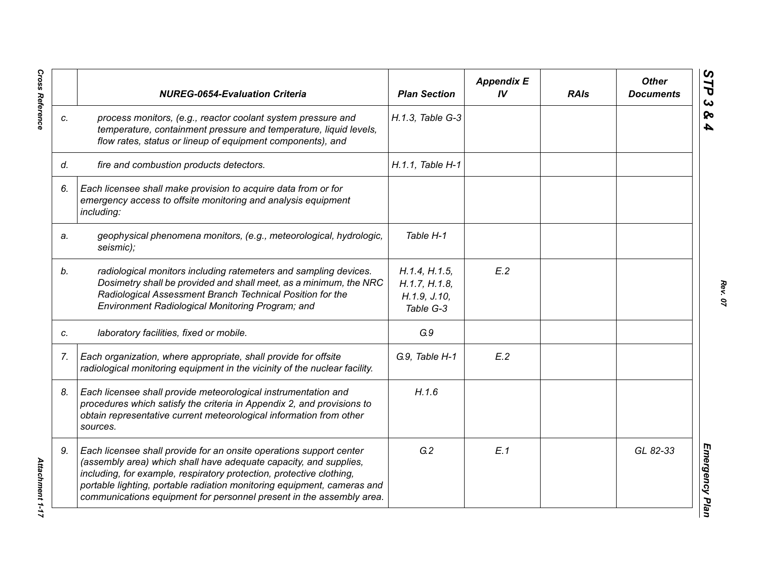|    | <b>NUREG-0654-Evaluation Criteria</b>                                                                                                                                                                                                                                                                                                                               | <b>Plan Section</b>                                           | <b>Appendix E</b><br>IV <sub></sub> | <b>RAIs</b> | <b>Other</b><br><b>Documents</b> |
|----|---------------------------------------------------------------------------------------------------------------------------------------------------------------------------------------------------------------------------------------------------------------------------------------------------------------------------------------------------------------------|---------------------------------------------------------------|-------------------------------------|-------------|----------------------------------|
| C. | process monitors, (e.g., reactor coolant system pressure and<br>temperature, containment pressure and temperature, liquid levels,<br>flow rates, status or lineup of equipment components), and                                                                                                                                                                     | H.1.3, Table G-3                                              |                                     |             |                                  |
| d. | fire and combustion products detectors.                                                                                                                                                                                                                                                                                                                             | H.1.1, Table H-1                                              |                                     |             |                                  |
| 6. | Each licensee shall make provision to acquire data from or for<br>emergency access to offsite monitoring and analysis equipment<br>including:                                                                                                                                                                                                                       |                                                               |                                     |             |                                  |
| a. | geophysical phenomena monitors, (e.g., meteorological, hydrologic,<br>seismic);                                                                                                                                                                                                                                                                                     | Table H-1                                                     |                                     |             |                                  |
| b. | radiological monitors including ratemeters and sampling devices.<br>Dosimetry shall be provided and shall meet, as a minimum, the NRC<br>Radiological Assessment Branch Technical Position for the<br>Environment Radiological Monitoring Program; and                                                                                                              | H.1.4, H.1.5,<br>H.1.7, H.1.8,<br>H. 1.9, J. 10,<br>Table G-3 | E.2                                 |             |                                  |
| C. | laboratory facilities, fixed or mobile.                                                                                                                                                                                                                                                                                                                             | G.9                                                           |                                     |             |                                  |
| 7. | Each organization, where appropriate, shall provide for offsite<br>radiological monitoring equipment in the vicinity of the nuclear facility.                                                                                                                                                                                                                       | G.9, Table H-1                                                | E.2                                 |             |                                  |
| 8. | Each licensee shall provide meteorological instrumentation and<br>procedures which satisfy the criteria in Appendix 2, and provisions to<br>obtain representative current meteorological information from other<br>sources.                                                                                                                                         | H.1.6                                                         |                                     |             |                                  |
| 9. | Each licensee shall provide for an onsite operations support center<br>(assembly area) which shall have adequate capacity, and supplies,<br>including, for example, respiratory protection, protective clothing,<br>portable lighting, portable radiation monitoring equipment, cameras and<br>communications equipment for personnel present in the assembly area. | G.2                                                           | E.1                                 |             | GL 82-33                         |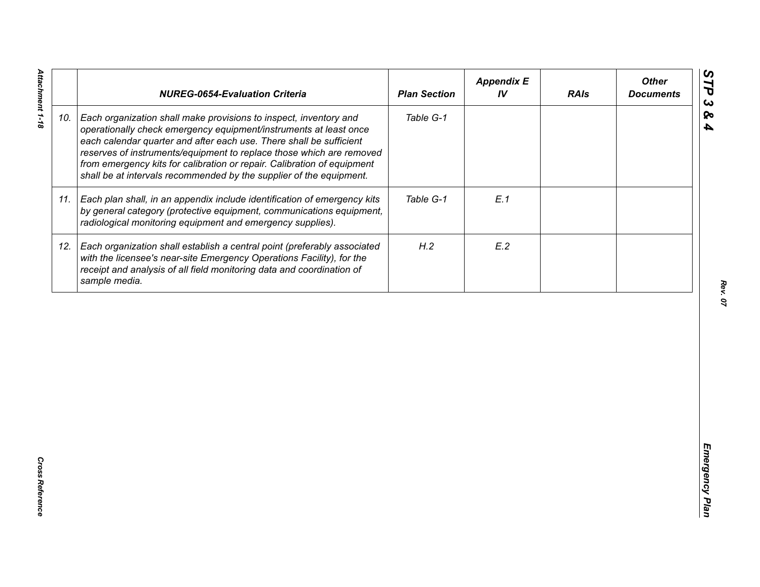|     | <b>NUREG-0654-Evaluation Criteria</b>                                                                                                                                                                                                                                                                                                                                                                                                   | <b>Plan Section</b> | <b>Appendix E</b><br>IV | <b>RAIs</b> | <b>Other</b><br><b>Documents</b> |
|-----|-----------------------------------------------------------------------------------------------------------------------------------------------------------------------------------------------------------------------------------------------------------------------------------------------------------------------------------------------------------------------------------------------------------------------------------------|---------------------|-------------------------|-------------|----------------------------------|
| 10. | Each organization shall make provisions to inspect, inventory and<br>operationally check emergency equipment/instruments at least once<br>each calendar quarter and after each use. There shall be sufficient<br>reserves of instruments/equipment to replace those which are removed<br>from emergency kits for calibration or repair. Calibration of equipment<br>shall be at intervals recommended by the supplier of the equipment. | Table G-1           |                         |             |                                  |
| 11. | Each plan shall, in an appendix include identification of emergency kits<br>by general category (protective equipment, communications equipment,<br>radiological monitoring equipment and emergency supplies).                                                                                                                                                                                                                          | Table G-1           | E.1                     |             |                                  |
| 12. | Each organization shall establish a central point (preferably associated<br>with the licensee's near-site Emergency Operations Facility), for the<br>receipt and analysis of all field monitoring data and coordination of<br>sample media.                                                                                                                                                                                             | H.2                 | E.2                     |             |                                  |
|     |                                                                                                                                                                                                                                                                                                                                                                                                                                         |                     |                         |             |                                  |
|     |                                                                                                                                                                                                                                                                                                                                                                                                                                         |                     |                         |             |                                  |
|     |                                                                                                                                                                                                                                                                                                                                                                                                                                         |                     |                         |             |                                  |
|     |                                                                                                                                                                                                                                                                                                                                                                                                                                         |                     |                         |             |                                  |
|     |                                                                                                                                                                                                                                                                                                                                                                                                                                         |                     |                         |             |                                  |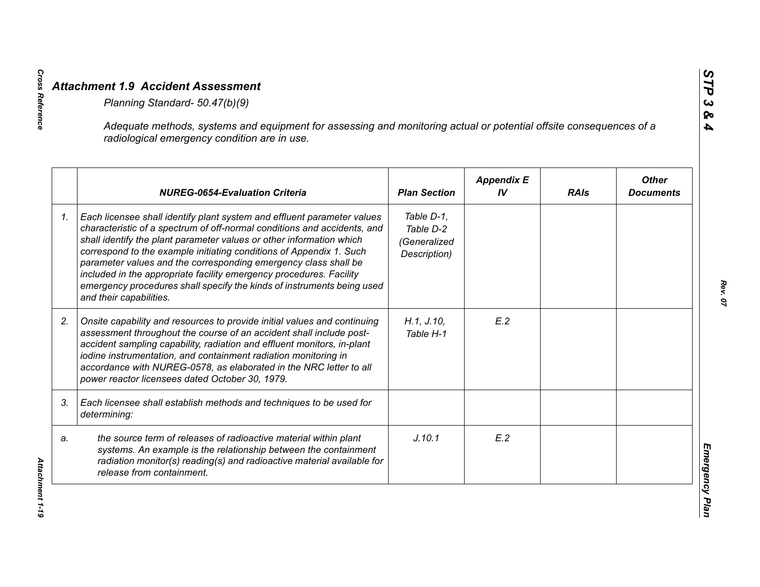|    | Adequate methods, systems and equipment for assessing and monitoring actual or potential offsite consequences of a<br>radiological emergency condition are in use.                                                                                                                                                                                                                                                                                                                                                                                |                                                         |                         |             |                                  |
|----|---------------------------------------------------------------------------------------------------------------------------------------------------------------------------------------------------------------------------------------------------------------------------------------------------------------------------------------------------------------------------------------------------------------------------------------------------------------------------------------------------------------------------------------------------|---------------------------------------------------------|-------------------------|-------------|----------------------------------|
|    | <b>NUREG-0654-Evaluation Criteria</b>                                                                                                                                                                                                                                                                                                                                                                                                                                                                                                             | <b>Plan Section</b>                                     | <b>Appendix E</b><br>IV | <b>RAIs</b> | <b>Other</b><br><b>Documents</b> |
| 1. | Each licensee shall identify plant system and effluent parameter values<br>characteristic of a spectrum of off-normal conditions and accidents, and<br>shall identify the plant parameter values or other information which<br>correspond to the example initiating conditions of Appendix 1. Such<br>parameter values and the corresponding emergency class shall be<br>included in the appropriate facility emergency procedures. Facility<br>emergency procedures shall specify the kinds of instruments being used<br>and their capabilities. | Table D-1,<br>Table D-2<br>(Generalized<br>Description) |                         |             |                                  |
| 2. | Onsite capability and resources to provide initial values and continuing<br>assessment throughout the course of an accident shall include post-<br>accident sampling capability, radiation and effluent monitors, in-plant<br>iodine instrumentation, and containment radiation monitoring in<br>accordance with NUREG-0578, as elaborated in the NRC letter to all<br>power reactor licensees dated October 30, 1979.                                                                                                                            | H.1, J.10,<br>Table H-1                                 | E.2                     |             |                                  |
| 3. | Each licensee shall establish methods and techniques to be used for<br>determining:                                                                                                                                                                                                                                                                                                                                                                                                                                                               |                                                         |                         |             |                                  |
| a. | the source term of releases of radioactive material within plant<br>systems. An example is the relationship between the containment<br>radiation monitor(s) reading(s) and radioactive material available for<br>release from containment.                                                                                                                                                                                                                                                                                                        | J.10.1                                                  | E.2                     |             |                                  |

**Cross Reference**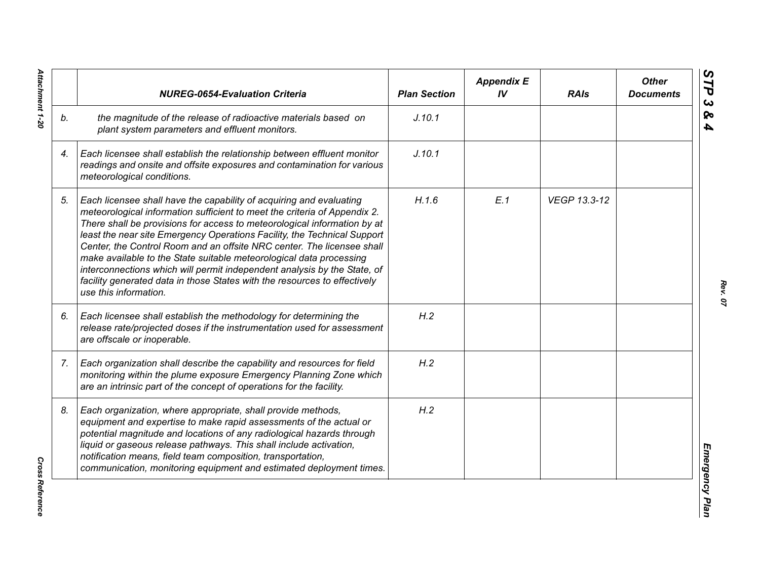|    | <b>NUREG-0654-Evaluation Criteria</b>                                                                                                                                                                                                                                                                                                                                                                                                                                                                                                                                                                                                       | <b>Plan Section</b> | <b>Appendix E</b><br>IV | <b>RAIs</b>  | <b>Other</b><br><b>Documents</b> |
|----|---------------------------------------------------------------------------------------------------------------------------------------------------------------------------------------------------------------------------------------------------------------------------------------------------------------------------------------------------------------------------------------------------------------------------------------------------------------------------------------------------------------------------------------------------------------------------------------------------------------------------------------------|---------------------|-------------------------|--------------|----------------------------------|
| b. | the magnitude of the release of radioactive materials based on<br>plant system parameters and effluent monitors.                                                                                                                                                                                                                                                                                                                                                                                                                                                                                                                            | J.10.1              |                         |              |                                  |
| 4. | Each licensee shall establish the relationship between effluent monitor<br>readings and onsite and offsite exposures and contamination for various<br>meteorological conditions.                                                                                                                                                                                                                                                                                                                                                                                                                                                            | J.10.1              |                         |              |                                  |
| 5. | Each licensee shall have the capability of acquiring and evaluating<br>meteorological information sufficient to meet the criteria of Appendix 2.<br>There shall be provisions for access to meteorological information by at<br>least the near site Emergency Operations Facility, the Technical Support<br>Center, the Control Room and an offsite NRC center. The licensee shall<br>make available to the State suitable meteorological data processing<br>interconnections which will permit independent analysis by the State, of<br>facility generated data in those States with the resources to effectively<br>use this information. | H.1.6               | E.1                     | VEGP 13.3-12 |                                  |
| 6. | Each licensee shall establish the methodology for determining the<br>release rate/projected doses if the instrumentation used for assessment<br>are offscale or inoperable.                                                                                                                                                                                                                                                                                                                                                                                                                                                                 | H.2                 |                         |              |                                  |
| 7. | Each organization shall describe the capability and resources for field<br>monitoring within the plume exposure Emergency Planning Zone which<br>are an intrinsic part of the concept of operations for the facility.                                                                                                                                                                                                                                                                                                                                                                                                                       | H.2                 |                         |              |                                  |
| 8. | Each organization, where appropriate, shall provide methods,<br>equipment and expertise to make rapid assessments of the actual or<br>potential magnitude and locations of any radiological hazards through<br>liquid or gaseous release pathways. This shall include activation,<br>notification means, field team composition, transportation,<br>communication, monitoring equipment and estimated deployment times.                                                                                                                                                                                                                     | H.2                 |                         |              |                                  |

Attachment 1-20 *Attachment 1-20*

**Cross Reference** *Cross Reference*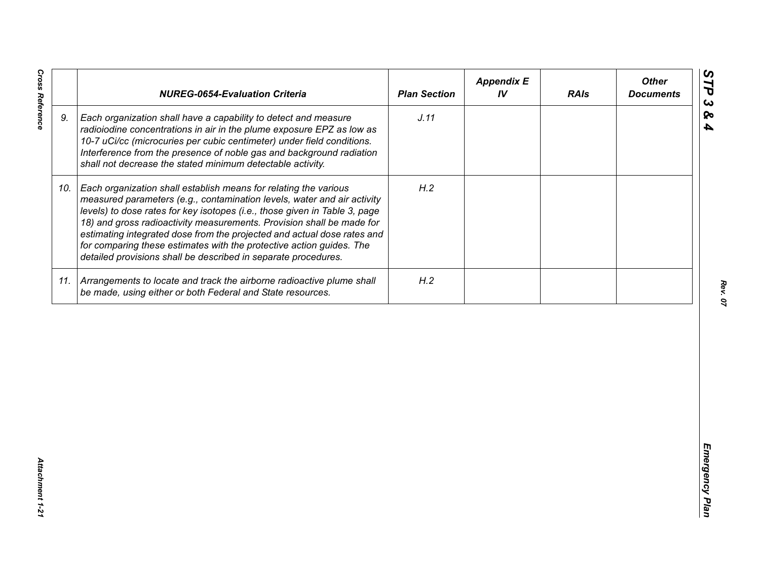| J.11<br>9.<br>Each organization shall have a capability to detect and measure<br>radioiodine concentrations in air in the plume exposure EPZ as low as<br>10-7 uCi/cc (microcuries per cubic centimeter) under field conditions.<br>Interference from the presence of noble gas and background radiation<br>shall not decrease the stated minimum detectable activity.<br>H.2<br>Each organization shall establish means for relating the various<br>10.<br>measured parameters (e.g., contamination levels, water and air activity<br>levels) to dose rates for key isotopes (i.e., those given in Table 3, page<br>18) and gross radioactivity measurements. Provision shall be made for<br>estimating integrated dose from the projected and actual dose rates and<br>for comparing these estimates with the protective action guides. The<br>detailed provisions shall be described in separate procedures. | H.2<br>11. Arrangements to locate and track the airborne radioactive plume shall<br>be made, using either or both Federal and State resources. | <b>NUREG-0654-Evaluation Criteria</b> | <b>Plan Section</b> | <b>Appendix E</b><br>IV | <b>RAIs</b> | <b>Other</b><br><b>Documents</b> |
|-----------------------------------------------------------------------------------------------------------------------------------------------------------------------------------------------------------------------------------------------------------------------------------------------------------------------------------------------------------------------------------------------------------------------------------------------------------------------------------------------------------------------------------------------------------------------------------------------------------------------------------------------------------------------------------------------------------------------------------------------------------------------------------------------------------------------------------------------------------------------------------------------------------------|------------------------------------------------------------------------------------------------------------------------------------------------|---------------------------------------|---------------------|-------------------------|-------------|----------------------------------|
|                                                                                                                                                                                                                                                                                                                                                                                                                                                                                                                                                                                                                                                                                                                                                                                                                                                                                                                 |                                                                                                                                                |                                       |                     |                         |             |                                  |
|                                                                                                                                                                                                                                                                                                                                                                                                                                                                                                                                                                                                                                                                                                                                                                                                                                                                                                                 |                                                                                                                                                |                                       |                     |                         |             |                                  |
|                                                                                                                                                                                                                                                                                                                                                                                                                                                                                                                                                                                                                                                                                                                                                                                                                                                                                                                 |                                                                                                                                                |                                       |                     |                         |             |                                  |
|                                                                                                                                                                                                                                                                                                                                                                                                                                                                                                                                                                                                                                                                                                                                                                                                                                                                                                                 |                                                                                                                                                |                                       |                     |                         |             |                                  |

**Cross Reference** 

*Cross Reference Attachment 1-21* Attachment 1-21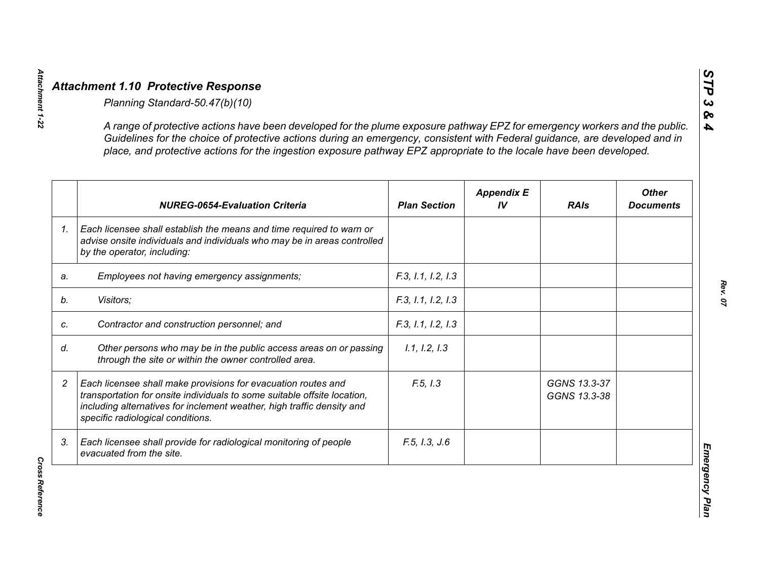|                | A range of protective actions have been developed for the plume exposure pathway EPZ for emergency workers and the public.<br>Guidelines for the choice of protective actions during an emergency, consistent with Federal guidance, are developed and in<br>place, and protective actions for the ingestion exposure pathway EPZ appropriate to the locale have been developed. |                     |                         |                              |                                  |
|----------------|----------------------------------------------------------------------------------------------------------------------------------------------------------------------------------------------------------------------------------------------------------------------------------------------------------------------------------------------------------------------------------|---------------------|-------------------------|------------------------------|----------------------------------|
|                | <b>NUREG-0654-Evaluation Criteria</b>                                                                                                                                                                                                                                                                                                                                            | <b>Plan Section</b> | <b>Appendix E</b><br>IV | <b>RAIs</b>                  | <b>Other</b><br><b>Documents</b> |
| 1 <sub>1</sub> | Each licensee shall establish the means and time required to warn or<br>advise onsite individuals and individuals who may be in areas controlled<br>by the operator, including:                                                                                                                                                                                                  |                     |                         |                              |                                  |
| a.             | Employees not having emergency assignments;                                                                                                                                                                                                                                                                                                                                      | F.3, 1.1, 1.2, 1.3  |                         |                              |                                  |
|                | Visitors;                                                                                                                                                                                                                                                                                                                                                                        | F.3, 1.1, 1.2, 1.3  |                         |                              |                                  |
|                | Contractor and construction personnel; and                                                                                                                                                                                                                                                                                                                                       | F.3, 1.1, 1.2, 1.3  |                         |                              |                                  |
|                | Other persons who may be in the public access areas on or passing<br>through the site or within the owner controlled area.                                                                                                                                                                                                                                                       | 1.1, 1.2, 1.3       |                         |                              |                                  |
|                | Each licensee shall make provisions for evacuation routes and<br>transportation for onsite individuals to some suitable offsite location,<br>including alternatives for inclement weather, high traffic density and<br>specific radiological conditions.                                                                                                                         | F.5, I.3            |                         | GGNS 13.3-37<br>GGNS 13.3-38 |                                  |
| 3.             | Each licensee shall provide for radiological monitoring of people<br>evacuated from the site.                                                                                                                                                                                                                                                                                    | F.5, I.3, J.6       |                         |                              |                                  |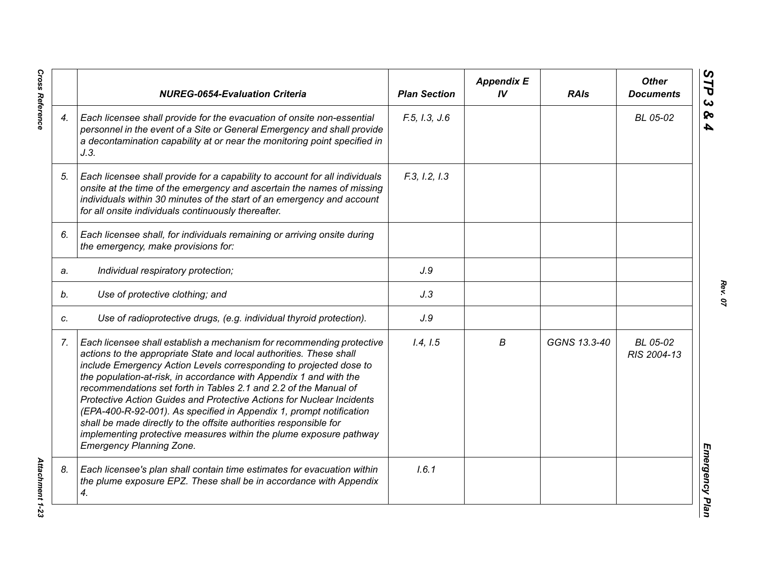|    | <b>NUREG-0654-Evaluation Criteria</b>                                                                                                                                                                                                                                                                                                                                                                                                                                                                                                                                                                                                                                                      | <b>Plan Section</b> | <b>Appendix E</b><br>IV | <b>RAIs</b>  | <b>Other</b><br><b>Documents</b> |
|----|--------------------------------------------------------------------------------------------------------------------------------------------------------------------------------------------------------------------------------------------------------------------------------------------------------------------------------------------------------------------------------------------------------------------------------------------------------------------------------------------------------------------------------------------------------------------------------------------------------------------------------------------------------------------------------------------|---------------------|-------------------------|--------------|----------------------------------|
| 4. | Each licensee shall provide for the evacuation of onsite non-essential<br>personnel in the event of a Site or General Emergency and shall provide<br>a decontamination capability at or near the monitoring point specified in<br>J.3.                                                                                                                                                                                                                                                                                                                                                                                                                                                     | F.5, I.3, J.6       |                         |              | BL 05-02                         |
| 5. | Each licensee shall provide for a capability to account for all individuals<br>onsite at the time of the emergency and ascertain the names of missing<br>individuals within 30 minutes of the start of an emergency and account<br>for all onsite individuals continuously thereafter.                                                                                                                                                                                                                                                                                                                                                                                                     | F.3, I.2, I.3       |                         |              |                                  |
| 6. | Each licensee shall, for individuals remaining or arriving onsite during<br>the emergency, make provisions for:                                                                                                                                                                                                                                                                                                                                                                                                                                                                                                                                                                            |                     |                         |              |                                  |
| a. | Individual respiratory protection;                                                                                                                                                                                                                                                                                                                                                                                                                                                                                                                                                                                                                                                         | J.9                 |                         |              |                                  |
| b. | Use of protective clothing; and                                                                                                                                                                                                                                                                                                                                                                                                                                                                                                                                                                                                                                                            | J.3                 |                         |              |                                  |
| C. | Use of radioprotective drugs, (e.g. individual thyroid protection).                                                                                                                                                                                                                                                                                                                                                                                                                                                                                                                                                                                                                        | J.9                 |                         |              |                                  |
| 7. | Each licensee shall establish a mechanism for recommending protective<br>actions to the appropriate State and local authorities. These shall<br>include Emergency Action Levels corresponding to projected dose to<br>the population-at-risk, in accordance with Appendix 1 and with the<br>recommendations set forth in Tables 2.1 and 2.2 of the Manual of<br>Protective Action Guides and Protective Actions for Nuclear Incidents<br>(EPA-400-R-92-001). As specified in Appendix 1, prompt notification<br>shall be made directly to the offsite authorities responsible for<br>implementing protective measures within the plume exposure pathway<br><b>Emergency Planning Zone.</b> | 1.4, 1.5            | В                       | GGNS 13.3-40 | BL 05-02<br>RIS 2004-13          |
| 8. | Each licensee's plan shall contain time estimates for evacuation within<br>the plume exposure EPZ. These shall be in accordance with Appendix<br>4.                                                                                                                                                                                                                                                                                                                                                                                                                                                                                                                                        | 1.6.1               |                         |              |                                  |

*Rev. 07*

**Cross Reference** 

*Cross Reference Attachment 1-23* **Attachment 1-23**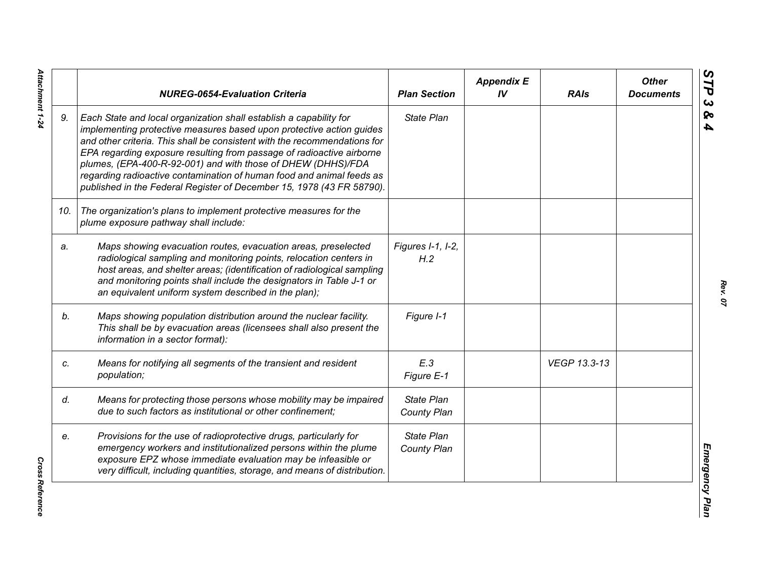|     | <b>NUREG-0654-Evaluation Criteria</b>                                                                                                                                                                                                                                                                                                                                                                                                                                                                              | <b>Plan Section</b>              | <b>Appendix E</b><br>IV | <b>RAIs</b>  | <b>Other</b><br><b>Documents</b> |
|-----|--------------------------------------------------------------------------------------------------------------------------------------------------------------------------------------------------------------------------------------------------------------------------------------------------------------------------------------------------------------------------------------------------------------------------------------------------------------------------------------------------------------------|----------------------------------|-------------------------|--------------|----------------------------------|
| 9.  | Each State and local organization shall establish a capability for<br>implementing protective measures based upon protective action guides<br>and other criteria. This shall be consistent with the recommendations for<br>EPA regarding exposure resulting from passage of radioactive airborne<br>plumes, (EPA-400-R-92-001) and with those of DHEW (DHHS)/FDA<br>regarding radioactive contamination of human food and animal feeds as<br>published in the Federal Register of December 15, 1978 (43 FR 58790). | <b>State Plan</b>                |                         |              |                                  |
| 10. | The organization's plans to implement protective measures for the<br>plume exposure pathway shall include:                                                                                                                                                                                                                                                                                                                                                                                                         |                                  |                         |              |                                  |
| a.  | Maps showing evacuation routes, evacuation areas, preselected<br>radiological sampling and monitoring points, relocation centers in<br>host areas, and shelter areas; (identification of radiological sampling<br>and monitoring points shall include the designators in Table J-1 or<br>an equivalent uniform system described in the plan);                                                                                                                                                                      | Figures I-1, I-2,<br>H.2         |                         |              |                                  |
| b.  | Maps showing population distribution around the nuclear facility.<br>This shall be by evacuation areas (licensees shall also present the<br>information in a sector format):                                                                                                                                                                                                                                                                                                                                       | Figure I-1                       |                         |              |                                  |
| c.  | Means for notifying all segments of the transient and resident<br>population;                                                                                                                                                                                                                                                                                                                                                                                                                                      | E.3<br>Figure E-1                |                         | VEGP 13.3-13 |                                  |
| d.  | Means for protecting those persons whose mobility may be impaired<br>due to such factors as institutional or other confinement;                                                                                                                                                                                                                                                                                                                                                                                    | <b>State Plan</b><br>County Plan |                         |              |                                  |
| e.  | Provisions for the use of radioprotective drugs, particularly for<br>emergency workers and institutionalized persons within the plume<br>exposure EPZ whose immediate evaluation may be infeasible or<br>very difficult, including quantities, storage, and means of distribution.                                                                                                                                                                                                                                 | <b>State Plan</b><br>County Plan |                         |              |                                  |

Attachment 1-24 *Attachment 1-24*

*Rev. 07*

**Cross Reference** *Cross Reference*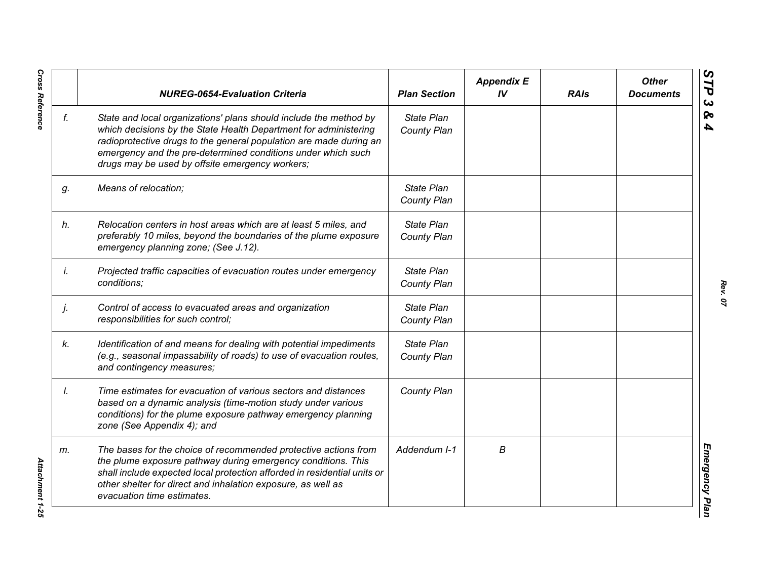|    | <b>NUREG-0654-Evaluation Criteria</b>                                                                                                                                                                                                                                                                                          | <b>Plan Section</b>              | <b>Appendix E</b><br>IV | <b>RAIs</b> | <b>Other</b><br><b>Documents</b> |
|----|--------------------------------------------------------------------------------------------------------------------------------------------------------------------------------------------------------------------------------------------------------------------------------------------------------------------------------|----------------------------------|-------------------------|-------------|----------------------------------|
| f. | State and local organizations' plans should include the method by<br>which decisions by the State Health Department for administering<br>radioprotective drugs to the general population are made during an<br>emergency and the pre-determined conditions under which such<br>drugs may be used by offsite emergency workers; | <b>State Plan</b><br>County Plan |                         |             |                                  |
| g. | Means of relocation;                                                                                                                                                                                                                                                                                                           | State Plan<br>County Plan        |                         |             |                                  |
| h. | Relocation centers in host areas which are at least 5 miles, and<br>preferably 10 miles, beyond the boundaries of the plume exposure<br>emergency planning zone; (See J.12).                                                                                                                                                   | State Plan<br>County Plan        |                         |             |                                  |
| İ. | Projected traffic capacities of evacuation routes under emergency<br>conditions;                                                                                                                                                                                                                                               | State Plan<br>County Plan        |                         |             |                                  |
| j. | Control of access to evacuated areas and organization<br>responsibilities for such control;                                                                                                                                                                                                                                    | State Plan<br>County Plan        |                         |             |                                  |
| k. | Identification of and means for dealing with potential impediments<br>(e.g., seasonal impassability of roads) to use of evacuation routes,<br>and contingency measures;                                                                                                                                                        | State Plan<br>County Plan        |                         |             |                                  |
| Ι. | Time estimates for evacuation of various sectors and distances<br>based on a dynamic analysis (time-motion study under various<br>conditions) for the plume exposure pathway emergency planning<br>zone (See Appendix 4); and                                                                                                  | County Plan                      |                         |             |                                  |
| m. | The bases for the choice of recommended protective actions from<br>the plume exposure pathway during emergency conditions. This<br>shall include expected local protection afforded in residential units or<br>other shelter for direct and inhalation exposure, as well as<br>evacuation time estimates.                      | Addendum I-1                     | В                       |             |                                  |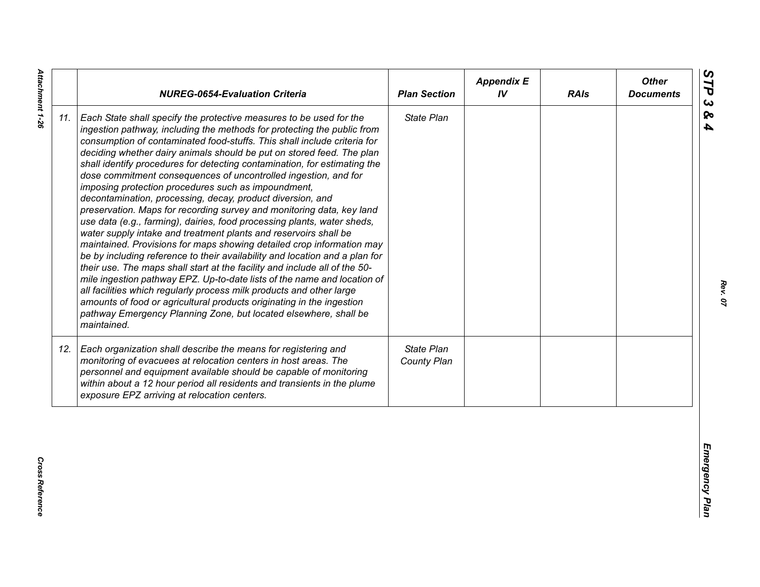| State Plan<br>Each State shall specify the protective measures to be used for the<br>ingestion pathway, including the methods for protecting the public from<br>consumption of contaminated food-stuffs. This shall include criteria for<br>deciding whether dairy animals should be put on stored feed. The plan<br>shall identify procedures for detecting contamination, for estimating the<br>dose commitment consequences of uncontrolled ingestion, and for<br>imposing protection procedures such as impoundment,<br>decontamination, processing, decay, product diversion, and<br>preservation. Maps for recording survey and monitoring data, key land<br>use data (e.g., farming), dairies, food processing plants, water sheds,<br>water supply intake and treatment plants and reservoirs shall be<br>maintained. Provisions for maps showing detailed crop information may<br>be by including reference to their availability and location and a plan for<br>their use. The maps shall start at the facility and include all of the 50-<br>mile ingestion pathway EPZ. Up-to-date lists of the name and location of<br>all facilities which regularly process milk products and other large<br>amounts of food or agricultural products originating in the ingestion<br>pathway Emergency Planning Zone, but located elsewhere, shall be<br>maintained.<br>State Plan<br>Each organization shall describe the means for registering and<br>monitoring of evacuees at relocation centers in host areas. The<br>County Plan<br>personnel and equipment available should be capable of monitoring<br>within about a 12 hour period all residents and transients in the plume<br>exposure EPZ arriving at relocation centers. |     | <b>NUREG-0654-Evaluation Criteria</b> | <b>Plan Section</b> | <b>Appendix E</b><br>IV | <b>RAIs</b> | <b>Other</b><br><b>Documents</b> |
|----------------------------------------------------------------------------------------------------------------------------------------------------------------------------------------------------------------------------------------------------------------------------------------------------------------------------------------------------------------------------------------------------------------------------------------------------------------------------------------------------------------------------------------------------------------------------------------------------------------------------------------------------------------------------------------------------------------------------------------------------------------------------------------------------------------------------------------------------------------------------------------------------------------------------------------------------------------------------------------------------------------------------------------------------------------------------------------------------------------------------------------------------------------------------------------------------------------------------------------------------------------------------------------------------------------------------------------------------------------------------------------------------------------------------------------------------------------------------------------------------------------------------------------------------------------------------------------------------------------------------------------------------------------------------------------------------------------------------------------|-----|---------------------------------------|---------------------|-------------------------|-------------|----------------------------------|
|                                                                                                                                                                                                                                                                                                                                                                                                                                                                                                                                                                                                                                                                                                                                                                                                                                                                                                                                                                                                                                                                                                                                                                                                                                                                                                                                                                                                                                                                                                                                                                                                                                                                                                                                        | 11. |                                       |                     |                         |             |                                  |
|                                                                                                                                                                                                                                                                                                                                                                                                                                                                                                                                                                                                                                                                                                                                                                                                                                                                                                                                                                                                                                                                                                                                                                                                                                                                                                                                                                                                                                                                                                                                                                                                                                                                                                                                        | 12. |                                       |                     |                         |             |                                  |

*Rev. 07*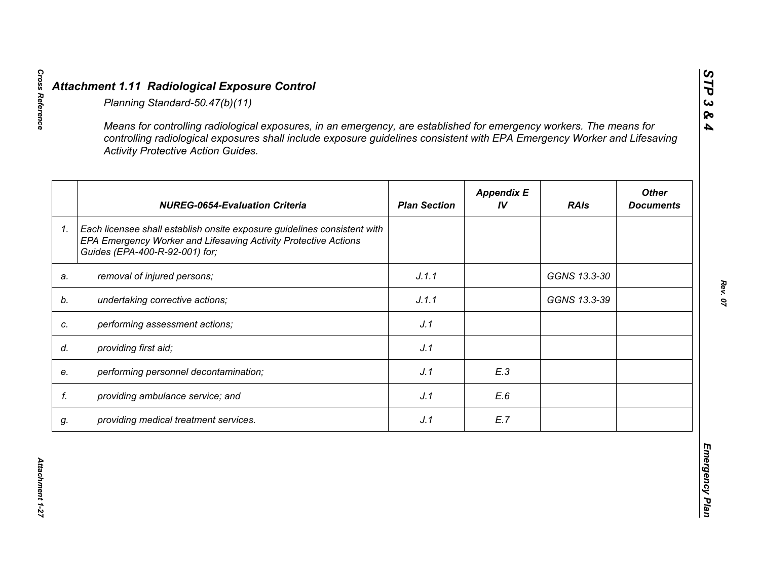|    | <b>NUREG-0654-Evaluation Criteria</b>                                                                                                                                         | <b>Plan Section</b> | <b>Appendix E</b><br>IV | <b>RAIs</b>  | <b>Other</b><br><b>Documents</b> |
|----|-------------------------------------------------------------------------------------------------------------------------------------------------------------------------------|---------------------|-------------------------|--------------|----------------------------------|
|    | Each licensee shall establish onsite exposure guidelines consistent with<br>EPA Emergency Worker and Lifesaving Activity Protective Actions<br>Guides (EPA-400-R-92-001) for; |                     |                         |              |                                  |
|    | removal of injured persons;                                                                                                                                                   | J.1.1               |                         | GGNS 13.3-30 |                                  |
|    | undertaking corrective actions;                                                                                                                                               | J.1.1               |                         | GGNS 13.3-39 |                                  |
|    | performing assessment actions;                                                                                                                                                | J.1                 |                         |              |                                  |
|    | providing first aid;                                                                                                                                                          | J.1                 |                         |              |                                  |
|    | performing personnel decontamination;                                                                                                                                         | J.1                 | E.3                     |              |                                  |
| f. | providing ambulance service; and                                                                                                                                              | J.1                 | E.6                     |              |                                  |
|    | providing medical treatment services.                                                                                                                                         | J.1                 | E.7                     |              |                                  |

*STP 3 & 4*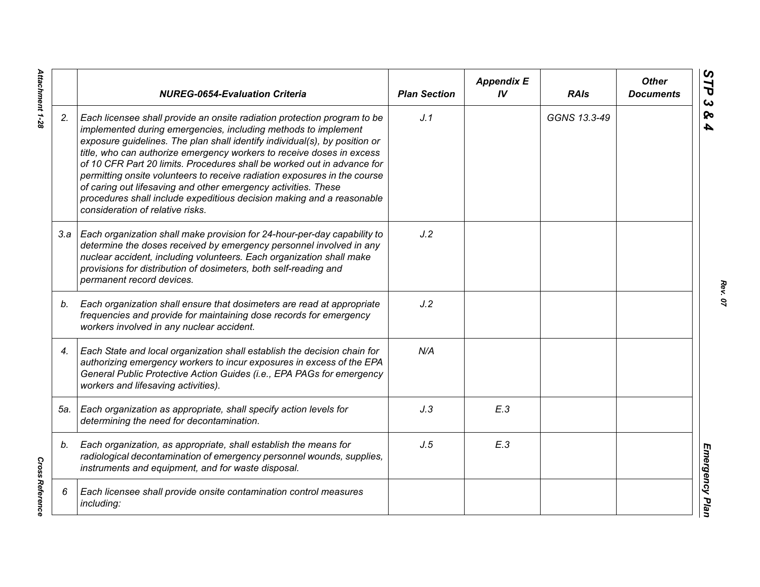|     | <b>NUREG-0654-Evaluation Criteria</b>                                                                                                                                                                                                                                                                                                                                                                                                                                                                                                                                                                                                    | <b>Plan Section</b> | <b>Appendix E</b><br>IV | <b>RAIs</b>  | <b>Other</b><br><b>Documents</b> |
|-----|------------------------------------------------------------------------------------------------------------------------------------------------------------------------------------------------------------------------------------------------------------------------------------------------------------------------------------------------------------------------------------------------------------------------------------------------------------------------------------------------------------------------------------------------------------------------------------------------------------------------------------------|---------------------|-------------------------|--------------|----------------------------------|
| 2.  | Each licensee shall provide an onsite radiation protection program to be<br>implemented during emergencies, including methods to implement<br>exposure guidelines. The plan shall identify individual(s), by position or<br>title, who can authorize emergency workers to receive doses in excess<br>of 10 CFR Part 20 limits. Procedures shall be worked out in advance for<br>permitting onsite volunteers to receive radiation exposures in the course<br>of caring out lifesaving and other emergency activities. These<br>procedures shall include expeditious decision making and a reasonable<br>consideration of relative risks. | J.1                 |                         | GGNS 13.3-49 |                                  |
|     | 3.a   Each organization shall make provision for 24-hour-per-day capability to<br>determine the doses received by emergency personnel involved in any<br>nuclear accident, including volunteers. Each organization shall make<br>provisions for distribution of dosimeters, both self-reading and<br>permanent record devices.                                                                                                                                                                                                                                                                                                           | J.2                 |                         |              |                                  |
| b.  | Each organization shall ensure that dosimeters are read at appropriate<br>frequencies and provide for maintaining dose records for emergency<br>workers involved in any nuclear accident.                                                                                                                                                                                                                                                                                                                                                                                                                                                | J.2                 |                         |              |                                  |
| 4.  | Each State and local organization shall establish the decision chain for<br>authorizing emergency workers to incur exposures in excess of the EPA<br>General Public Protective Action Guides (i.e., EPA PAGs for emergency<br>workers and lifesaving activities).                                                                                                                                                                                                                                                                                                                                                                        | N/A                 |                         |              |                                  |
| 5а. | Each organization as appropriate, shall specify action levels for<br>determining the need for decontamination.                                                                                                                                                                                                                                                                                                                                                                                                                                                                                                                           | J.3                 | E.3                     |              |                                  |
| b.  | Each organization, as appropriate, shall establish the means for<br>radiological decontamination of emergency personnel wounds, supplies,<br>instruments and equipment, and for waste disposal.                                                                                                                                                                                                                                                                                                                                                                                                                                          | J.5                 | E.3                     |              |                                  |
| 6   | Each licensee shall provide onsite contamination control measures<br>including:                                                                                                                                                                                                                                                                                                                                                                                                                                                                                                                                                          |                     |                         |              |                                  |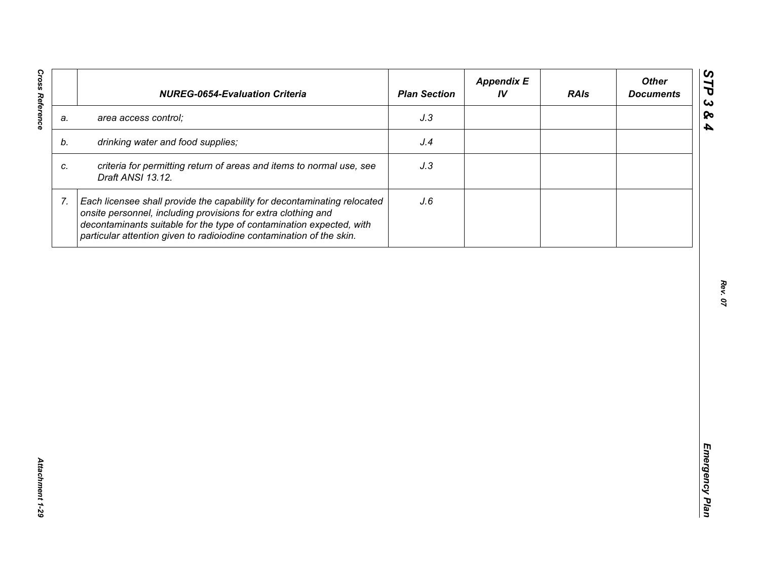| J.3<br>area access control;<br>a.<br>drinking water and food supplies;<br>J.4<br>b.<br>criteria for permitting return of areas and items to normal use, see<br>J.3<br>C.<br>Draft ANSI 13.12.<br>7.<br>Each licensee shall provide the capability for decontaminating relocated<br>J.6<br>onsite personnel, including provisions for extra clothing and |  | decontaminants suitable for the type of contamination expected, with |  |  |
|---------------------------------------------------------------------------------------------------------------------------------------------------------------------------------------------------------------------------------------------------------------------------------------------------------------------------------------------------------|--|----------------------------------------------------------------------|--|--|
|                                                                                                                                                                                                                                                                                                                                                         |  |                                                                      |  |  |
|                                                                                                                                                                                                                                                                                                                                                         |  |                                                                      |  |  |
|                                                                                                                                                                                                                                                                                                                                                         |  |                                                                      |  |  |
| particular attention given to radioiodine contamination of the skin.                                                                                                                                                                                                                                                                                    |  |                                                                      |  |  |
|                                                                                                                                                                                                                                                                                                                                                         |  |                                                                      |  |  |
|                                                                                                                                                                                                                                                                                                                                                         |  |                                                                      |  |  |
|                                                                                                                                                                                                                                                                                                                                                         |  |                                                                      |  |  |
|                                                                                                                                                                                                                                                                                                                                                         |  |                                                                      |  |  |
|                                                                                                                                                                                                                                                                                                                                                         |  |                                                                      |  |  |
|                                                                                                                                                                                                                                                                                                                                                         |  |                                                                      |  |  |
|                                                                                                                                                                                                                                                                                                                                                         |  |                                                                      |  |  |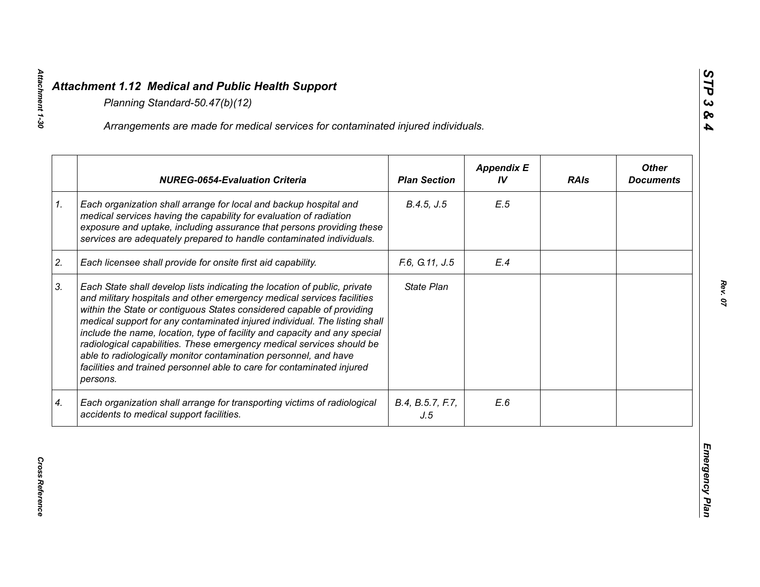|    | Arrangements are made for medical services for contaminated injured individuals.                                                                                                                                                                                                                                                                                                                                                                                                                                                                                                                                           |                         |                         |             |                                  |
|----|----------------------------------------------------------------------------------------------------------------------------------------------------------------------------------------------------------------------------------------------------------------------------------------------------------------------------------------------------------------------------------------------------------------------------------------------------------------------------------------------------------------------------------------------------------------------------------------------------------------------------|-------------------------|-------------------------|-------------|----------------------------------|
|    | <b>NUREG-0654-Evaluation Criteria</b>                                                                                                                                                                                                                                                                                                                                                                                                                                                                                                                                                                                      | <b>Plan Section</b>     | <b>Appendix E</b><br>IV | <b>RAIs</b> | <b>Other</b><br><b>Documents</b> |
| 1. | Each organization shall arrange for local and backup hospital and<br>medical services having the capability for evaluation of radiation<br>exposure and uptake, including assurance that persons providing these<br>services are adequately prepared to handle contaminated individuals.                                                                                                                                                                                                                                                                                                                                   | B.4.5, J.5              | E.5                     |             |                                  |
| 2. | Each licensee shall provide for onsite first aid capability.                                                                                                                                                                                                                                                                                                                                                                                                                                                                                                                                                               | F.6, G.11, J.5          | E.4                     |             |                                  |
| 3. | Each State shall develop lists indicating the location of public, private<br>and military hospitals and other emergency medical services facilities<br>within the State or contiguous States considered capable of providing<br>medical support for any contaminated injured individual. The listing shall<br>include the name, location, type of facility and capacity and any special<br>radiological capabilities. These emergency medical services should be<br>able to radiologically monitor contamination personnel, and have<br>facilities and trained personnel able to care for contaminated injured<br>persons. | State Plan              |                         |             |                                  |
| 4. | Each organization shall arrange for transporting victims of radiological<br>accidents to medical support facilities.                                                                                                                                                                                                                                                                                                                                                                                                                                                                                                       | B.4, B.5.7, F.7,<br>J.5 | E.6                     |             |                                  |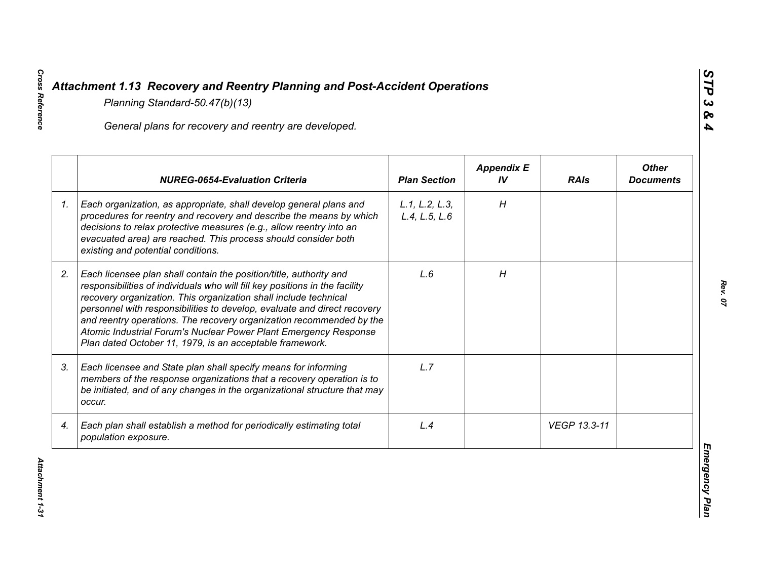|    | General plans for recovery and reentry are developed.                                                                                                                                                                                                                                                                                                                                                                                                                                                     |                                 |                         |              |                                  |
|----|-----------------------------------------------------------------------------------------------------------------------------------------------------------------------------------------------------------------------------------------------------------------------------------------------------------------------------------------------------------------------------------------------------------------------------------------------------------------------------------------------------------|---------------------------------|-------------------------|--------------|----------------------------------|
|    | <b>NUREG-0654-Evaluation Criteria</b>                                                                                                                                                                                                                                                                                                                                                                                                                                                                     | <b>Plan Section</b>             | <b>Appendix E</b><br>IV | <b>RAIs</b>  | <b>Other</b><br><b>Documents</b> |
| 1. | Each organization, as appropriate, shall develop general plans and<br>procedures for reentry and recovery and describe the means by which<br>decisions to relax protective measures (e.g., allow reentry into an<br>evacuated area) are reached. This process should consider both<br>existing and potential conditions.                                                                                                                                                                                  | L.1, L.2, L.3,<br>L.4, L.5, L.6 | H                       |              |                                  |
| 2. | Each licensee plan shall contain the position/title, authority and<br>responsibilities of individuals who will fill key positions in the facility<br>recovery organization. This organization shall include technical<br>personnel with responsibilities to develop, evaluate and direct recovery<br>and reentry operations. The recovery organization recommended by the<br>Atomic Industrial Forum's Nuclear Power Plant Emergency Response<br>Plan dated October 11, 1979, is an acceptable framework. | L.6                             | H                       |              |                                  |
| 3. | Each licensee and State plan shall specify means for informing<br>members of the response organizations that a recovery operation is to<br>be initiated, and of any changes in the organizational structure that may<br>occur.                                                                                                                                                                                                                                                                            | L.7                             |                         |              |                                  |
| 4. | Each plan shall establish a method for periodically estimating total<br>population exposure.                                                                                                                                                                                                                                                                                                                                                                                                              | L.4                             |                         | VEGP 13.3-11 |                                  |

*STP 3 & 4*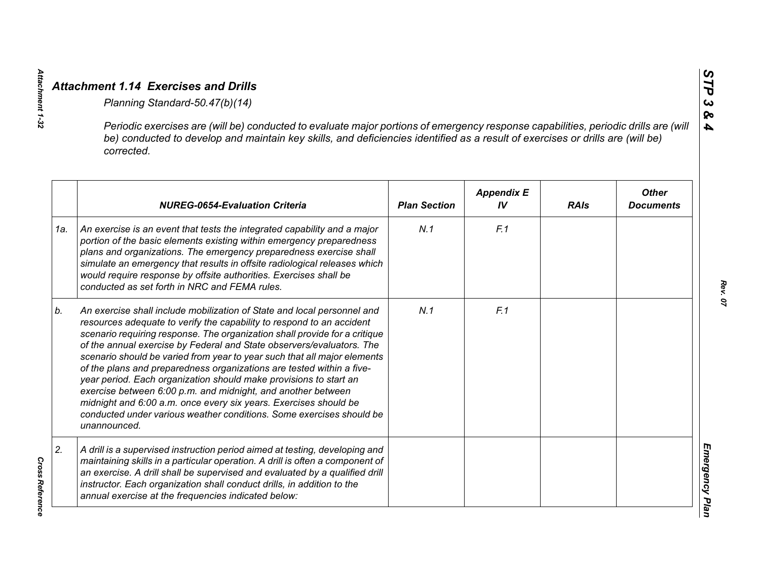|     | Periodic exercises are (will be) conducted to evaluate major portions of emergency response capabilities, periodic drills are (will<br>be) conducted to develop and maintain key skills, and deficiencies identified as a result of exercises or drills are (will be)<br>corrected.                                                                                                                                                                                                                                                                                                                                                                                                                                                                           |                     |                         |             |                                  |
|-----|---------------------------------------------------------------------------------------------------------------------------------------------------------------------------------------------------------------------------------------------------------------------------------------------------------------------------------------------------------------------------------------------------------------------------------------------------------------------------------------------------------------------------------------------------------------------------------------------------------------------------------------------------------------------------------------------------------------------------------------------------------------|---------------------|-------------------------|-------------|----------------------------------|
|     | <b>NUREG-0654-Evaluation Criteria</b>                                                                                                                                                                                                                                                                                                                                                                                                                                                                                                                                                                                                                                                                                                                         | <b>Plan Section</b> | <b>Appendix E</b><br>IV | <b>RAIs</b> | <b>Other</b><br><b>Documents</b> |
| 1a. | An exercise is an event that tests the integrated capability and a major<br>portion of the basic elements existing within emergency preparedness<br>plans and organizations. The emergency preparedness exercise shall<br>simulate an emergency that results in offsite radiological releases which<br>would require response by offsite authorities. Exercises shall be<br>conducted as set forth in NRC and FEMA rules.                                                                                                                                                                                                                                                                                                                                     | N.1                 | F.1                     |             |                                  |
| b.  | An exercise shall include mobilization of State and local personnel and<br>resources adequate to verify the capability to respond to an accident<br>scenario requiring response. The organization shall provide for a critique<br>of the annual exercise by Federal and State observers/evaluators. The<br>scenario should be varied from year to year such that all major elements<br>of the plans and preparedness organizations are tested within a five-<br>year period. Each organization should make provisions to start an<br>exercise between 6:00 p.m. and midnight, and another between<br>midnight and 6:00 a.m. once every six years. Exercises should be<br>conducted under various weather conditions. Some exercises should be<br>unannounced. | N.1                 | F.1                     |             |                                  |
| 2.  | A drill is a supervised instruction period aimed at testing, developing and<br>maintaining skills in a particular operation. A drill is often a component of<br>an exercise. A drill shall be supervised and evaluated by a qualified drill<br>instructor. Each organization shall conduct drills, in addition to the<br>annual exercise at the frequencies indicated below:                                                                                                                                                                                                                                                                                                                                                                                  |                     |                         |             |                                  |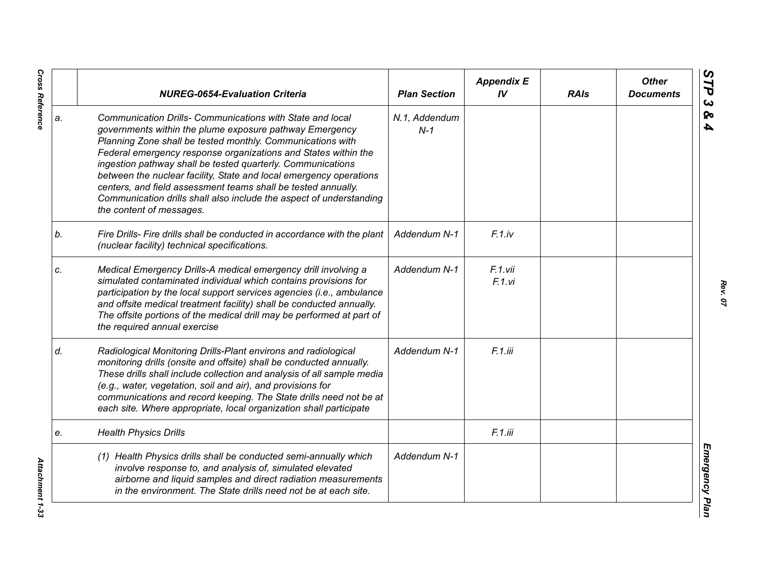|    | <b>NUREG-0654-Evaluation Criteria</b>                                                                                                                                                                                                                                                                                                                                                                                                                                                                                                                         | <b>Plan Section</b>    | <b>Appendix E</b><br>IV | <b>RAIs</b> | <b>Other</b><br><b>Documents</b> |
|----|---------------------------------------------------------------------------------------------------------------------------------------------------------------------------------------------------------------------------------------------------------------------------------------------------------------------------------------------------------------------------------------------------------------------------------------------------------------------------------------------------------------------------------------------------------------|------------------------|-------------------------|-------------|----------------------------------|
| a. | Communication Drills- Communications with State and local<br>governments within the plume exposure pathway Emergency<br>Planning Zone shall be tested monthly. Communications with<br>Federal emergency response organizations and States within the<br>ingestion pathway shall be tested quarterly. Communications<br>between the nuclear facility, State and local emergency operations<br>centers, and field assessment teams shall be tested annually.<br>Communication drills shall also include the aspect of understanding<br>the content of messages. | N.1, Addendum<br>$N-1$ |                         |             |                                  |
| b. | Fire Drills- Fire drills shall be conducted in accordance with the plant<br>(nuclear facility) technical specifications.                                                                                                                                                                                                                                                                                                                                                                                                                                      | Addendum N-1           | $F.1$ .iv               |             |                                  |
| C. | Medical Emergency Drills-A medical emergency drill involving a<br>simulated contaminated individual which contains provisions for<br>participation by the local support services agencies (i.e., ambulance<br>and offsite medical treatment facility) shall be conducted annually.<br>The offsite portions of the medical drill may be performed at part of<br>the required annual exercise                                                                                                                                                                   | Addendum N-1           | F.1.vii<br>F.1.vi       |             |                                  |
| d. | Radiological Monitoring Drills-Plant environs and radiological<br>monitoring drills (onsite and offsite) shall be conducted annually.<br>These drills shall include collection and analysis of all sample media<br>(e.g., water, vegetation, soil and air), and provisions for<br>communications and record keeping. The State drills need not be at<br>each site. Where appropriate, local organization shall participate                                                                                                                                    | Addendum N-1           | F.1.iii                 |             |                                  |
| e. | <b>Health Physics Drills</b>                                                                                                                                                                                                                                                                                                                                                                                                                                                                                                                                  |                        | F.1.iii                 |             |                                  |
|    | (1) Health Physics drills shall be conducted semi-annually which<br>involve response to, and analysis of, simulated elevated<br>airborne and liquid samples and direct radiation measurements<br>in the environment. The State drills need not be at each site.                                                                                                                                                                                                                                                                                               | Addendum N-1           |                         |             |                                  |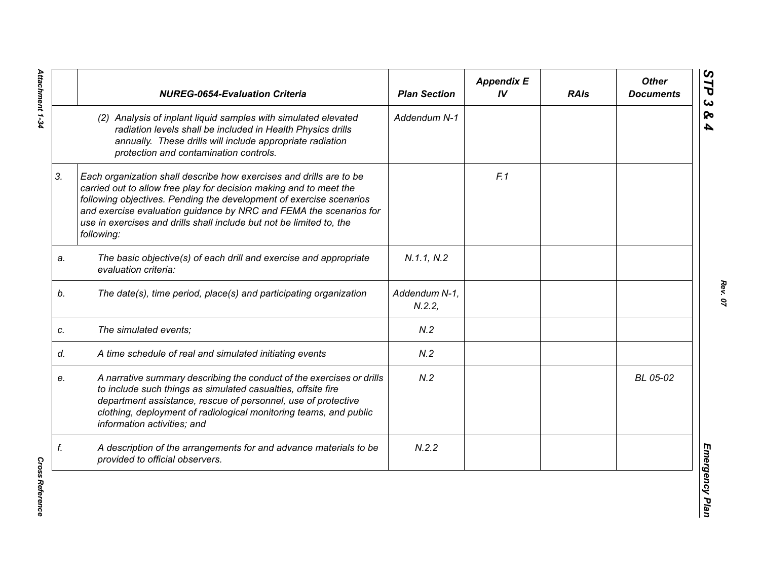|    | <b>NUREG-0654-Evaluation Criteria</b>                                                                                                                                                                                                                                                                                                                                        | <b>Plan Section</b>    | <b>Appendix E</b><br>IV | <b>RAIs</b> | <b>Other</b><br><b>Documents</b> |
|----|------------------------------------------------------------------------------------------------------------------------------------------------------------------------------------------------------------------------------------------------------------------------------------------------------------------------------------------------------------------------------|------------------------|-------------------------|-------------|----------------------------------|
|    | (2) Analysis of inplant liquid samples with simulated elevated<br>radiation levels shall be included in Health Physics drills<br>annually. These drills will include appropriate radiation<br>protection and contamination controls.                                                                                                                                         | Addendum N-1           |                         |             |                                  |
| 3. | Each organization shall describe how exercises and drills are to be<br>carried out to allow free play for decision making and to meet the<br>following objectives. Pending the development of exercise scenarios<br>and exercise evaluation guidance by NRC and FEMA the scenarios for<br>use in exercises and drills shall include but not be limited to, the<br>following: |                        | F.1                     |             |                                  |
| a. | The basic objective(s) of each drill and exercise and appropriate<br>evaluation criteria:                                                                                                                                                                                                                                                                                    | N.1.1, N.2             |                         |             |                                  |
| b. | The date(s), time period, place(s) and participating organization                                                                                                                                                                                                                                                                                                            | Addendum N-1,<br>N.2.2 |                         |             |                                  |
| c. | The simulated events;                                                                                                                                                                                                                                                                                                                                                        | N.2                    |                         |             |                                  |
| d. | A time schedule of real and simulated initiating events                                                                                                                                                                                                                                                                                                                      | N.2                    |                         |             |                                  |
| е. | A narrative summary describing the conduct of the exercises or drills<br>to include such things as simulated casualties, offsite fire<br>department assistance, rescue of personnel, use of protective<br>clothing, deployment of radiological monitoring teams, and public<br>information activities; and                                                                   | N.2                    |                         |             | BL 05-02                         |
| f. | A description of the arrangements for and advance materials to be<br>provided to official observers.                                                                                                                                                                                                                                                                         | N.2.2                  |                         |             |                                  |

**Cross Reference** *Cross Reference*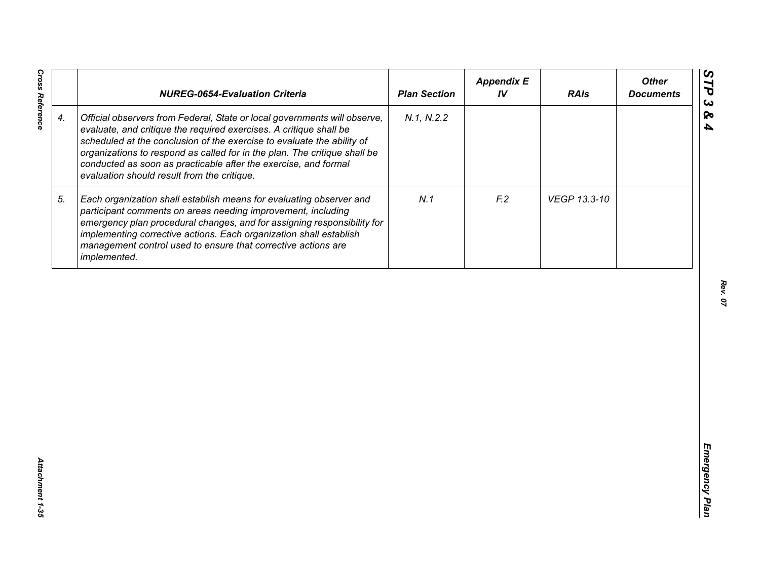|                    | <b>NUREG-0654-Evaluation Criteria</b>                                                                                                                                                                                                                                                                                                                                                                                    | <b>Plan Section</b> | <b>Appendix E</b><br>IV | <b>RAIs</b>  | <b>Other</b><br><b>Documents</b> |
|--------------------|--------------------------------------------------------------------------------------------------------------------------------------------------------------------------------------------------------------------------------------------------------------------------------------------------------------------------------------------------------------------------------------------------------------------------|---------------------|-------------------------|--------------|----------------------------------|
| $\boldsymbol{4}$ . | Official observers from Federal, State or local governments will observe,<br>evaluate, and critique the required exercises. A critique shall be<br>scheduled at the conclusion of the exercise to evaluate the ability of<br>organizations to respond as called for in the plan. The critique shall be<br>conducted as soon as practicable after the exercise, and formal<br>evaluation should result from the critique. | N.1, N.2.2          |                         |              |                                  |
| 5.                 | Each organization shall establish means for evaluating observer and<br>participant comments on areas needing improvement, including<br>emergency plan procedural changes, and for assigning responsibility for<br>implementing corrective actions. Each organization shall establish<br>management control used to ensure that corrective actions are<br>implemented.                                                    | N.1                 | F <sub>2</sub>          | VEGP 13.3-10 |                                  |
|                    |                                                                                                                                                                                                                                                                                                                                                                                                                          |                     |                         |              |                                  |
|                    |                                                                                                                                                                                                                                                                                                                                                                                                                          |                     |                         |              |                                  |
|                    |                                                                                                                                                                                                                                                                                                                                                                                                                          |                     |                         |              |                                  |
|                    |                                                                                                                                                                                                                                                                                                                                                                                                                          |                     |                         |              |                                  |
|                    |                                                                                                                                                                                                                                                                                                                                                                                                                          |                     |                         |              |                                  |

*Rev. 07*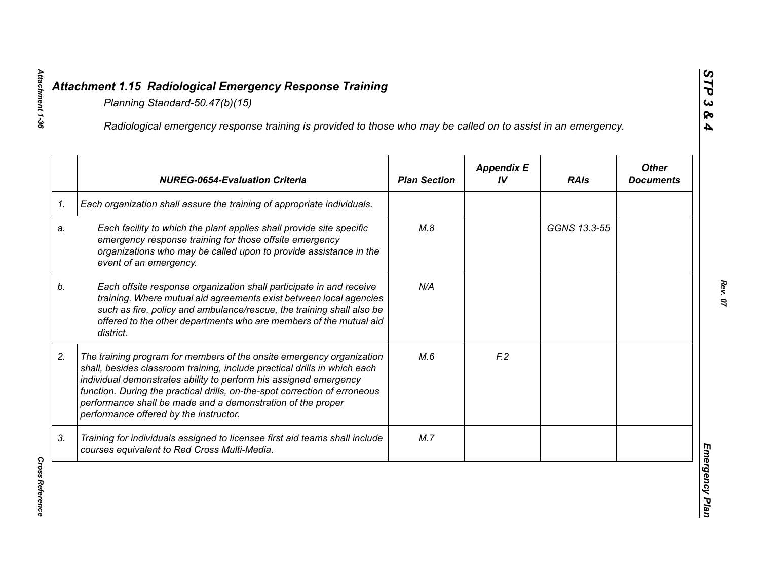|    | Radiological emergency response training is provided to those who may be called on to assist in an emergency.                                                                                                                                                                                                                                                                                                  |                     |                         |              |                                  |
|----|----------------------------------------------------------------------------------------------------------------------------------------------------------------------------------------------------------------------------------------------------------------------------------------------------------------------------------------------------------------------------------------------------------------|---------------------|-------------------------|--------------|----------------------------------|
|    | <b>NUREG-0654-Evaluation Criteria</b>                                                                                                                                                                                                                                                                                                                                                                          | <b>Plan Section</b> | <b>Appendix E</b><br>IV | <b>RAIs</b>  | <b>Other</b><br><b>Documents</b> |
| 1. | Each organization shall assure the training of appropriate individuals.                                                                                                                                                                                                                                                                                                                                        |                     |                         |              |                                  |
| a. | Each facility to which the plant applies shall provide site specific<br>emergency response training for those offsite emergency<br>organizations who may be called upon to provide assistance in the<br>event of an emergency.                                                                                                                                                                                 | M.8                 |                         | GGNS 13.3-55 |                                  |
| b. | Each offsite response organization shall participate in and receive<br>training. Where mutual aid agreements exist between local agencies<br>such as fire, policy and ambulance/rescue, the training shall also be<br>offered to the other departments who are members of the mutual aid<br>district.                                                                                                          | N/A                 |                         |              |                                  |
| 2. | The training program for members of the onsite emergency organization<br>shall, besides classroom training, include practical drills in which each<br>individual demonstrates ability to perform his assigned emergency<br>function. During the practical drills, on-the-spot correction of erroneous<br>performance shall be made and a demonstration of the proper<br>performance offered by the instructor. | M.6                 | F <sub>12</sub>         |              |                                  |
| 3. | Training for individuals assigned to licensee first aid teams shall include<br>courses equivalent to Red Cross Multi-Media.                                                                                                                                                                                                                                                                                    | M.7                 |                         |              |                                  |

*Cross Reference* 

**Cross Reference**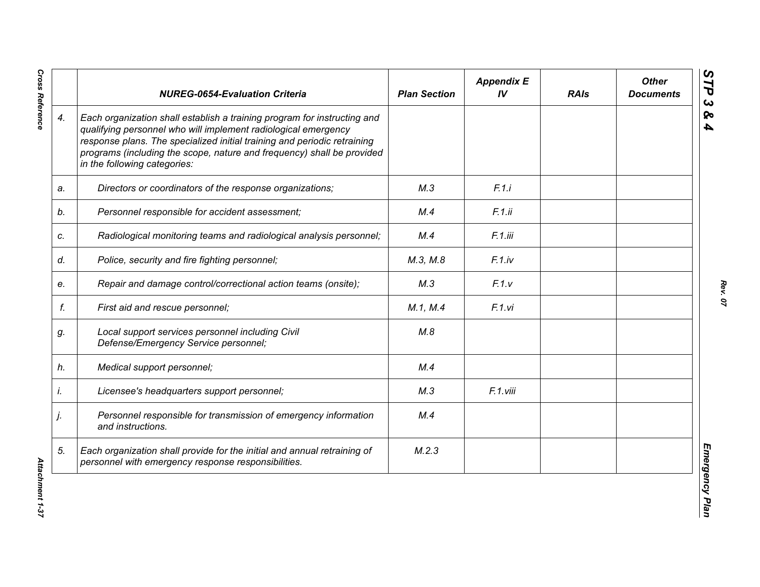|    | <b>NUREG-0654-Evaluation Criteria</b>                                                                                                                                                                                                                                                                                            | <b>Plan Section</b> | <b>Appendix E</b><br>IV | <b>RAIs</b> | <b>Other</b><br><b>Documents</b> |
|----|----------------------------------------------------------------------------------------------------------------------------------------------------------------------------------------------------------------------------------------------------------------------------------------------------------------------------------|---------------------|-------------------------|-------------|----------------------------------|
| 4. | Each organization shall establish a training program for instructing and<br>qualifying personnel who will implement radiological emergency<br>response plans. The specialized initial training and periodic retraining<br>programs (including the scope, nature and frequency) shall be provided<br>in the following categories: |                     |                         |             |                                  |
| a. | Directors or coordinators of the response organizations;                                                                                                                                                                                                                                                                         | M.3                 | F.1.i                   |             |                                  |
| b. | Personnel responsible for accident assessment;                                                                                                                                                                                                                                                                                   | M.4                 | F.1.ii                  |             |                                  |
| c. | Radiological monitoring teams and radiological analysis personnel;                                                                                                                                                                                                                                                               | M.4                 | F.1.iii                 |             |                                  |
| d. | Police, security and fire fighting personnel;                                                                                                                                                                                                                                                                                    | M.3, M.8            | F.1(iv                  |             |                                  |
| e. | Repair and damage control/correctional action teams (onsite);                                                                                                                                                                                                                                                                    | M.3                 | F.1.v                   |             |                                  |
| f. | First aid and rescue personnel;                                                                                                                                                                                                                                                                                                  | M.1, M.4            | F.1.vi                  |             |                                  |
| g. | Local support services personnel including Civil<br>Defense/Emergency Service personnel;                                                                                                                                                                                                                                         | M.8                 |                         |             |                                  |
| h. | Medical support personnel;                                                                                                                                                                                                                                                                                                       | M.4                 |                         |             |                                  |
| i. | Licensee's headquarters support personnel;                                                                                                                                                                                                                                                                                       | M.3                 | F.1.viii                |             |                                  |
| j. | Personnel responsible for transmission of emergency information<br>and instructions.                                                                                                                                                                                                                                             | M.4                 |                         |             |                                  |
| 5. | Each organization shall provide for the initial and annual retraining of<br>personnel with emergency response responsibilities.                                                                                                                                                                                                  | M.2.3               |                         |             |                                  |

**Cross Reference**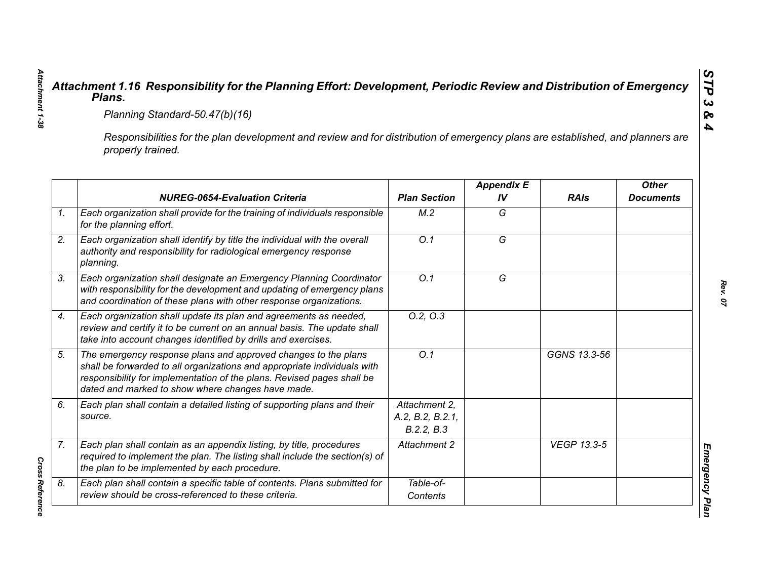|                                                                                                                                                     | Planning Standard-50.47(b)(16)                                                                                                                                                                                                                                            |                                                 |                         |                    |                                  |  |  |
|-----------------------------------------------------------------------------------------------------------------------------------------------------|---------------------------------------------------------------------------------------------------------------------------------------------------------------------------------------------------------------------------------------------------------------------------|-------------------------------------------------|-------------------------|--------------------|----------------------------------|--|--|
| Responsibilities for the plan development and review and for distribution of emergency plans are established, and planners are<br>properly trained. |                                                                                                                                                                                                                                                                           |                                                 |                         |                    |                                  |  |  |
|                                                                                                                                                     | <b>NUREG-0654-Evaluation Criteria</b>                                                                                                                                                                                                                                     | <b>Plan Section</b>                             | <b>Appendix E</b><br>IV | <b>RAIs</b>        | <b>Other</b><br><b>Documents</b> |  |  |
|                                                                                                                                                     | Each organization shall provide for the training of individuals responsible<br>for the planning effort.                                                                                                                                                                   | M.2                                             | G                       |                    |                                  |  |  |
|                                                                                                                                                     | Each organization shall identify by title the individual with the overall<br>authority and responsibility for radiological emergency response<br>planning.                                                                                                                | O.1                                             | $\overline{G}$          |                    |                                  |  |  |
|                                                                                                                                                     | Each organization shall designate an Emergency Planning Coordinator<br>with responsibility for the development and updating of emergency plans<br>and coordination of these plans with other response organizations.                                                      | O.1                                             | G                       |                    |                                  |  |  |
|                                                                                                                                                     | Each organization shall update its plan and agreements as needed,<br>review and certify it to be current on an annual basis. The update shall<br>take into account changes identified by drills and exercises.                                                            | 0.2, 0.3                                        |                         |                    |                                  |  |  |
|                                                                                                                                                     | The emergency response plans and approved changes to the plans<br>shall be forwarded to all organizations and appropriate individuals with<br>responsibility for implementation of the plans. Revised pages shall be<br>dated and marked to show where changes have made. | O.1                                             |                         | GGNS 13.3-56       |                                  |  |  |
|                                                                                                                                                     | Each plan shall contain a detailed listing of supporting plans and their<br>source.                                                                                                                                                                                       | Attachment 2.<br>A.2, B.2, B.2.1,<br>B.2.2, B.3 |                         |                    |                                  |  |  |
|                                                                                                                                                     | Each plan shall contain as an appendix listing, by title, procedures<br>required to implement the plan. The listing shall include the section(s) of<br>the plan to be implemented by each procedure.                                                                      | Attachment 2                                    |                         | <b>VEGP 13.3-5</b> |                                  |  |  |
|                                                                                                                                                     | Each plan shall contain a specific table of contents. Plans submitted for<br>review should be cross-referenced to these criteria.                                                                                                                                         | Table-of-<br>Contents                           |                         |                    |                                  |  |  |